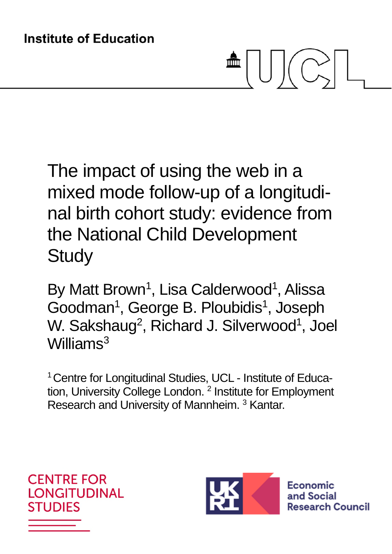# 霝

The impact of using the web in a mixed mode follow-up of a longitudinal birth cohort study: evidence from the National Child Development **Study** 

By Matt Brown<sup>1</sup>, Lisa Calderwood<sup>1</sup>, Alissa Goodman<sup>1</sup>, George B. Ploubidis<sup>1</sup>, Joseph W. Sakshaug<sup>2</sup>, Richard J. Silverwood<sup>1</sup>, Joel Williams<sup>3</sup>

<sup>1</sup> Centre for Longitudinal Studies, UCL - Institute of Education, University College London.<sup>2</sup> Institute for Employment Research and University of Mannheim.<sup>3</sup> Kantar.



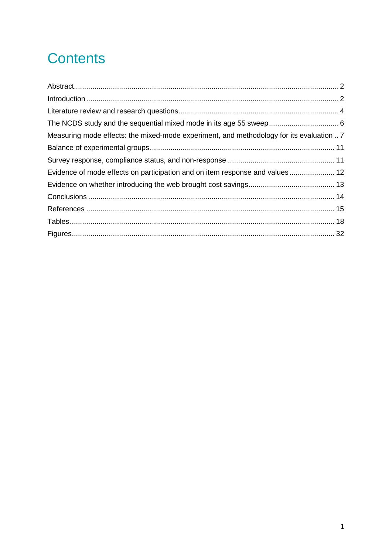# **Contents**

| Measuring mode effects: the mixed-mode experiment, and methodology for its evaluation 7 |  |
|-----------------------------------------------------------------------------------------|--|
|                                                                                         |  |
|                                                                                         |  |
| Evidence of mode effects on participation and on item response and values 12            |  |
|                                                                                         |  |
|                                                                                         |  |
|                                                                                         |  |
|                                                                                         |  |
|                                                                                         |  |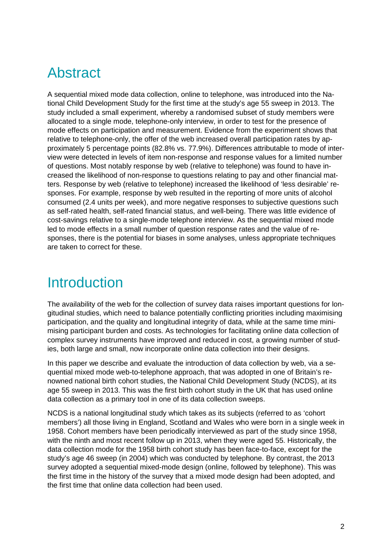## Abstract

A sequential mixed mode data collection, online to telephone, was introduced into the National Child Development Study for the first time at the study's age 55 sweep in 2013. The study included a small experiment, whereby a randomised subset of study members were allocated to a single mode, telephone-only interview, in order to test for the presence of mode effects on participation and measurement. Evidence from the experiment shows that relative to telephone-only, the offer of the web increased overall participation rates by approximately 5 percentage points (82.8% vs. 77.9%). Differences attributable to mode of interview were detected in levels of item non-response and response values for a limited number of questions. Most notably response by web (relative to telephone) was found to have increased the likelihood of non-response to questions relating to pay and other financial matters. Response by web (relative to telephone) increased the likelihood of 'less desirable' responses. For example, response by web resulted in the reporting of more units of alcohol consumed (2.4 units per week), and more negative responses to subjective questions such as self-rated health, self-rated financial status, and well-being. There was little evidence of cost-savings relative to a single-mode telephone interview. As the sequential mixed mode led to mode effects in a small number of question response rates and the value of responses, there is the potential for biases in some analyses, unless appropriate techniques are taken to correct for these.

# **Introduction**

The availability of the web for the collection of survey data raises important questions for longitudinal studies, which need to balance potentially conflicting priorities including maximising participation, and the quality and longitudinal integrity of data, while at the same time minimising participant burden and costs. As technologies for facilitating online data collection of complex survey instruments have improved and reduced in cost, a growing number of studies, both large and small, now incorporate online data collection into their designs.

In this paper we describe and evaluate the introduction of data collection by web, via a sequential mixed mode web-to-telephone approach, that was adopted in one of Britain's renowned national birth cohort studies, the National Child Development Study (NCDS), at its age 55 sweep in 2013. This was the first birth cohort study in the UK that has used online data collection as a primary tool in one of its data collection sweeps.

NCDS is a national longitudinal study which takes as its subjects (referred to as 'cohort members') all those living in England, Scotland and Wales who were born in a single week in 1958. Cohort members have been periodically interviewed as part of the study since 1958, with the ninth and most recent follow up in 2013, when they were aged 55. Historically, the data collection mode for the 1958 birth cohort study has been face-to-face, except for the study's age 46 sweep (in 2004) which was conducted by telephone. By contrast, the 2013 survey adopted a sequential mixed-mode design (online, followed by telephone). This was the first time in the history of the survey that a mixed mode design had been adopted, and the first time that online data collection had been used.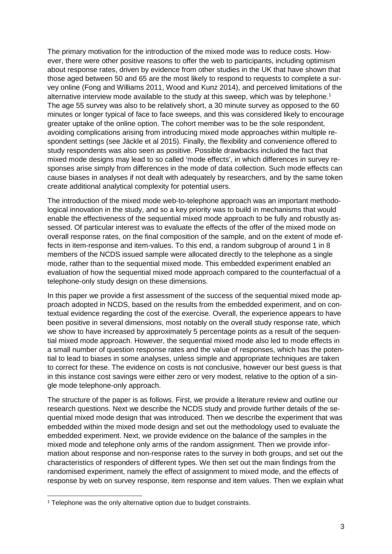The primary motivation for the introduction of the mixed mode was to reduce costs. However, there were other positive reasons to offer the web to participants, including optimism about response rates, driven by evidence from other studies in the UK that have shown that those aged between 50 and 65 are the most likely to respond to requests to complete a survey online (Fong and Williams 2011, Wood and Kunz 2014), and perceived limitations of the alternative interview mode available to the study at this sweep, which was by telephone.<sup>1</sup> The age 55 survey was also to be relatively short, a 30 minute survey as opposed to the 60 minutes or longer typical of face to face sweeps, and this was considered likely to encourage greater uptake of the online option. The cohort member was to be the sole respondent, avoiding complications arising from introducing mixed mode approaches within multiple respondent settings (see Jäckle et al 2015). Finally, the flexibility and convenience offered to study respondents was also seen as positive. Possible drawbacks included the fact that mixed mode designs may lead to so called 'mode effects', in which differences in survey responses arise simply from differences in the mode of data collection. Such mode effects can cause biases in analyses if not dealt with adequately by researchers, and by the same token create additional analytical complexity for potential users.

The introduction of the mixed mode web-to-telephone approach was an important methodological innovation in the study, and so a key priority was to build in mechanisms that would enable the effectiveness of the sequential mixed mode approach to be fully and robustly assessed. Of particular interest was to evaluate the effects of the offer of the mixed mode on overall response rates, on the final composition of the sample, and on the extent of mode effects in item-response and item-values. To this end, a random subgroup of around 1 in 8 members of the NCDS issued sample were allocated directly to the telephone as a single mode, rather than to the sequential mixed mode. This embedded experiment enabled an evaluation of how the sequential mixed mode approach compared to the counterfactual of a telephone-only study design on these dimensions.

In this paper we provide a first assessment of the success of the sequential mixed mode approach adopted in NCDS, based on the results from the embedded experiment, and on contextual evidence regarding the cost of the exercise. Overall, the experience appears to have been positive in several dimensions, most notably on the overall study response rate, which we show to have increased by approximately 5 percentage points as a result of the sequential mixed mode approach. However, the sequential mixed mode also led to mode effects in a small number of question response rates and the value of responses, which has the potential to lead to biases in some analyses, unless simple and appropriate techniques are taken to correct for these. The evidence on costs is not conclusive, however our best guess is that in this instance cost savings were either zero or very modest, relative to the option of a single mode telephone-only approach.

The structure of the paper is as follows. First, we provide a literature review and outline our research questions. Next we describe the NCDS study and provide further details of the sequential mixed mode design that was introduced. Then we describe the experiment that was embedded within the mixed mode design and set out the methodology used to evaluate the embedded experiment. Next, we provide evidence on the balance of the samples in the mixed mode and telephone only arms of the random assignment. Then we provide information about response and non-response rates to the survey in both groups, and set out the characteristics of responders of different types. We then set out the main findings from the randomised experiment, namely the effect of assignment to mixed mode, and the effects of response by web on survey response, item response and item values. Then we explain what

<sup>&</sup>lt;sup>1</sup> Telephone was the only alternative option due to budget constraints.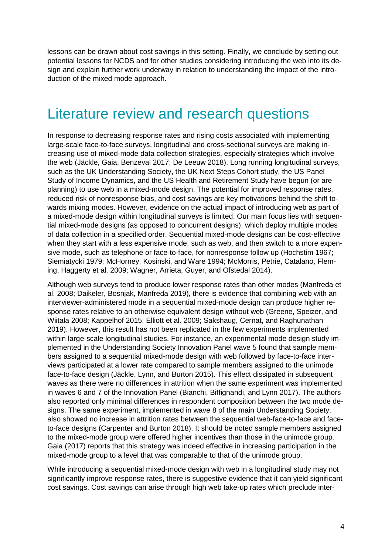lessons can be drawn about cost savings in this setting. Finally, we conclude by setting out potential lessons for NCDS and for other studies considering introducing the web into its design and explain further work underway in relation to understanding the impact of the introduction of the mixed mode approach.

## Literature review and research questions

In response to decreasing response rates and rising costs associated with implementing large-scale face-to-face surveys, longitudinal and cross-sectional surveys are making increasing use of mixed-mode data collection strategies, especially strategies which involve the web (Jäckle, Gaia, Benzeval 2017; De Leeuw 2018). Long running longitudinal surveys, such as the UK Understanding Society, the UK Next Steps Cohort study, the US Panel Study of Income Dynamics, and the US Health and Retirement Study have begun (or are planning) to use web in a mixed-mode design. The potential for improved response rates, reduced risk of nonresponse bias, and cost savings are key motivations behind the shift towards mixing modes. However, evidence on the actual impact of introducing web as part of a mixed-mode design within longitudinal surveys is limited. Our main focus lies with sequential mixed-mode designs (as opposed to concurrent designs), which deploy multiple modes of data collection in a specified order. Sequential mixed-mode designs can be cost-effective when they start with a less expensive mode, such as web, and then switch to a more expensive mode, such as telephone or face-to-face, for nonresponse follow up (Hochstim 1967; Siemiatycki 1979; McHorney, Kosinski, and Ware 1994; McMorris, Petrie, Catalano, Fleming, Haggerty et al. 2009; Wagner, Arrieta, Guyer, and Ofstedal 2014).

Although web surveys tend to produce lower response rates than other modes (Manfreda et al. 2008; Daikeler, Bosnjak, Manfreda 2019), there is evidence that combining web with an interviewer-administered mode in a sequential mixed-mode design can produce higher response rates relative to an otherwise equivalent design without web (Greene, Speizer, and Wiitala 2008; Kappelhof 2015; Elliott et al. 2009; Sakshaug, Cernat, and Raghunathan 2019). However, this result has not been replicated in the few experiments implemented within large-scale longitudinal studies. For instance, an experimental mode design study implemented in the Understanding Society Innovation Panel wave 5 found that sample members assigned to a sequential mixed-mode design with web followed by face-to-face interviews participated at a lower rate compared to sample members assigned to the unimode face-to-face design (Jäckle, Lynn, and Burton 2015). This effect dissipated in subsequent waves as there were no differences in attrition when the same experiment was implemented in waves 6 and 7 of the Innovation Panel (Bianchi, Biffignandi, and Lynn 2017). The authors also reported only minimal differences in respondent composition between the two mode designs. The same experiment, implemented in wave 8 of the main Understanding Society, also showed no increase in attrition rates between the sequential web-face-to-face and faceto-face designs (Carpenter and Burton 2018). It should be noted sample members assigned to the mixed-mode group were offered higher incentives than those in the unimode group. Gaia (2017) reports that this strategy was indeed effective in increasing participation in the mixed-mode group to a level that was comparable to that of the unimode group.

While introducing a sequential mixed-mode design with web in a longitudinal study may not significantly improve response rates, there is suggestive evidence that it can yield significant cost savings. Cost savings can arise through high web take-up rates which preclude inter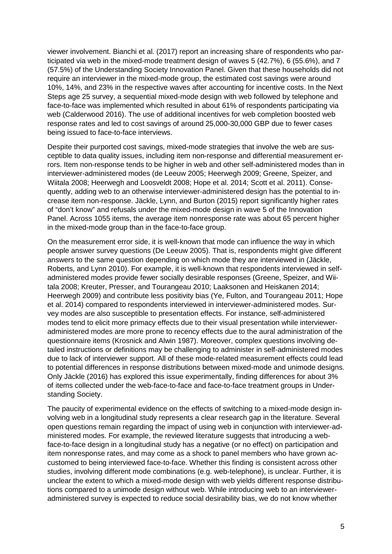viewer involvement. Bianchi et al. (2017) report an increasing share of respondents who participated via web in the mixed-mode treatment design of waves 5 (42.7%), 6 (55.6%), and 7 (57.5%) of the Understanding Society Innovation Panel. Given that these households did not require an interviewer in the mixed-mode group, the estimated cost savings were around 10%, 14%, and 23% in the respective waves after accounting for incentive costs. In the Next Steps age 25 survey, a sequential mixed-mode design with web followed by telephone and face-to-face was implemented which resulted in about 61% of respondents participating via web (Calderwood 2016). The use of additional incentives for web completion boosted web response rates and led to cost savings of around 25,000-30,000 GBP due to fewer cases being issued to face-to-face interviews.

Despite their purported cost savings, mixed-mode strategies that involve the web are susceptible to data quality issues, including item non-response and differential measurement errors. Item non-response tends to be higher in web and other self-administered modes than in interviewer-administered modes (de Leeuw 2005; Heerwegh 2009; Greene, Speizer, and Wiitala 2008; Heerwegh and Loosveldt 2008; Hope et al. 2014; Scott et al. 2011). Consequently, adding web to an otherwise interviewer-administered design has the potential to increase item non-response. Jäckle, Lynn, and Burton (2015) report significantly higher rates of "don't know" and refusals under the mixed-mode design in wave 5 of the Innovation Panel. Across 1055 items, the average item nonresponse rate was about 65 percent higher in the mixed-mode group than in the face-to-face group.

On the measurement error side, it is well-known that mode can influence the way in which people answer survey questions (De Leeuw 2005). That is, respondents might give different answers to the same question depending on which mode they are interviewed in (Jäckle, Roberts, and Lynn 2010). For example, it is well-known that respondents interviewed in selfadministered modes provide fewer socially desirable responses (Greene, Speizer, and Wiitala 2008; Kreuter, Presser, and Tourangeau 2010; Laaksonen and Heiskanen 2014; Heerwegh 2009) and contribute less positivity bias (Ye, Fulton, and Tourangeau 2011; Hope et al. 2014) compared to respondents interviewed in interviewer-administered modes. Survey modes are also susceptible to presentation effects. For instance, self-administered modes tend to elicit more primacy effects due to their visual presentation while intervieweradministered modes are more prone to recency effects due to the aural administration of the questionnaire items (Krosnick and Alwin 1987). Moreover, complex questions involving detailed instructions or definitions may be challenging to administer in self-administered modes due to lack of interviewer support. All of these mode-related measurement effects could lead to potential differences in response distributions between mixed-mode and unimode designs. Only Jäckle (2016) has explored this issue experimentally, finding differences for about 3% of items collected under the web-face-to-face and face-to-face treatment groups in Understanding Society.

The paucity of experimental evidence on the effects of switching to a mixed-mode design involving web in a longitudinal study represents a clear research gap in the literature. Several open questions remain regarding the impact of using web in conjunction with interviewer-administered modes. For example, the reviewed literature suggests that introducing a webface-to-face design in a longitudinal study has a negative (or no effect) on participation and item nonresponse rates, and may come as a shock to panel members who have grown accustomed to being interviewed face-to-face. Whether this finding is consistent across other studies, involving different mode combinations (e.g. web-telephone), is unclear. Further, it is unclear the extent to which a mixed-mode design with web yields different response distributions compared to a unimode design without web. While introducing web to an intervieweradministered survey is expected to reduce social desirability bias, we do not know whether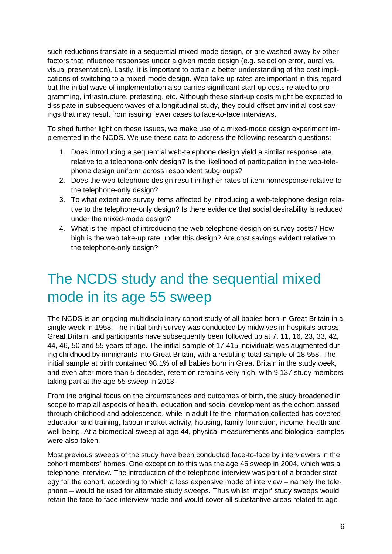such reductions translate in a sequential mixed-mode design, or are washed away by other factors that influence responses under a given mode design (e.g. selection error, aural vs. visual presentation). Lastly, it is important to obtain a better understanding of the cost implications of switching to a mixed-mode design. Web take-up rates are important in this regard but the initial wave of implementation also carries significant start-up costs related to programming, infrastructure, pretesting, etc. Although these start-up costs might be expected to dissipate in subsequent waves of a longitudinal study, they could offset any initial cost savings that may result from issuing fewer cases to face-to-face interviews.

To shed further light on these issues, we make use of a mixed-mode design experiment implemented in the NCDS. We use these data to address the following research questions:

- 1. Does introducing a sequential web-telephone design yield a similar response rate, relative to a telephone-only design? Is the likelihood of participation in the web-telephone design uniform across respondent subgroups?
- 2. Does the web-telephone design result in higher rates of item nonresponse relative to the telephone-only design?
- 3. To what extent are survey items affected by introducing a web-telephone design relative to the telephone-only design? Is there evidence that social desirability is reduced under the mixed-mode design?
- 4. What is the impact of introducing the web-telephone design on survey costs? How high is the web take-up rate under this design? Are cost savings evident relative to the telephone-only design?

# The NCDS study and the sequential mixed mode in its age 55 sweep

The NCDS is an ongoing multidisciplinary cohort study of all babies born in Great Britain in a single week in 1958. The initial birth survey was conducted by midwives in hospitals across Great Britain, and participants have subsequently been followed up at 7, 11, 16, 23, 33, 42, 44, 46, 50 and 55 years of age. The initial sample of 17,415 individuals was augmented during childhood by immigrants into Great Britain, with a resulting total sample of 18,558. The initial sample at birth contained 98.1% of all babies born in Great Britain in the study week, and even after more than 5 decades, retention remains very high, with 9,137 study members taking part at the age 55 sweep in 2013.

From the original focus on the circumstances and outcomes of birth, the study broadened in scope to map all aspects of health, education and social development as the cohort passed through childhood and adolescence, while in adult life the information collected has covered education and training, labour market activity, housing, family formation, income, health and well-being. At a biomedical sweep at age 44, physical measurements and biological samples were also taken.

Most previous sweeps of the study have been conducted face-to-face by interviewers in the cohort members' homes. One exception to this was the age 46 sweep in 2004, which was a telephone interview. The introduction of the telephone interview was part of a broader strategy for the cohort, according to which a less expensive mode of interview – namely the telephone – would be used for alternate study sweeps. Thus whilst 'major' study sweeps would retain the face-to-face interview mode and would cover all substantive areas related to age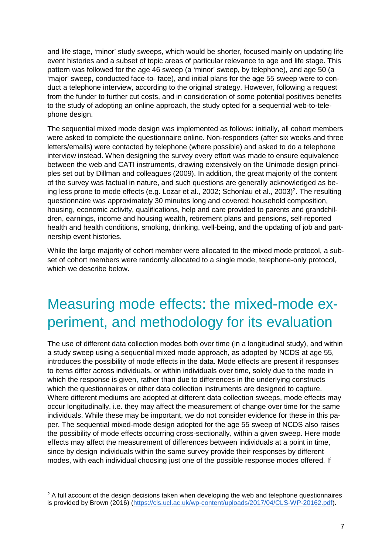and life stage, 'minor' study sweeps, which would be shorter, focused mainly on updating life event histories and a subset of topic areas of particular relevance to age and life stage. This pattern was followed for the age 46 sweep (a 'minor' sweep, by telephone), and age 50 (a 'major' sweep, conducted face-to- face), and initial plans for the age 55 sweep were to conduct a telephone interview, according to the original strategy. However, following a request from the funder to further cut costs, and in consideration of some potential positives benefits to the study of adopting an online approach, the study opted for a sequential web-to-telephone design.

The sequential mixed mode design was implemented as follows: initially, all cohort members were asked to complete the questionnaire online. Non-responders (after six weeks and three letters/emails) were contacted by telephone (where possible) and asked to do a telephone interview instead. When designing the survey every effort was made to ensure equivalence between the web and CATI instruments, drawing extensively on the Unimode design principles set out by Dillman and colleagues (2009). In addition, the great majority of the content of the survey was factual in nature, and such questions are generally acknowledged as being less prone to mode effects (e.g. Lozar et al., 2002; Schonlau et al., 2003)<sup>2</sup>. The resulting questionnaire was approximately 30 minutes long and covered: household composition, housing, economic activity, qualifications, help and care provided to parents and grandchildren, earnings, income and housing wealth, retirement plans and pensions, self-reported health and health conditions, smoking, drinking, well-being, and the updating of job and partnership event histories.

While the large majority of cohort member were allocated to the mixed mode protocol, a subset of cohort members were randomly allocated to a single mode, telephone-only protocol, which we describe below.

# Measuring mode effects: the mixed-mode experiment, and methodology for its evaluation

The use of different data collection modes both over time (in a longitudinal study), and within a study sweep using a sequential mixed mode approach, as adopted by NCDS at age 55, introduces the possibility of mode effects in the data. Mode effects are present if responses to items differ across individuals, or within individuals over time, solely due to the mode in which the response is given, rather than due to differences in the underlying constructs which the questionnaires or other data collection instruments are designed to capture. Where different mediums are adopted at different data collection sweeps, mode effects may occur longitudinally, i.e. they may affect the measurement of change over time for the same individuals. While these may be important, we do not consider evidence for these in this paper. The sequential mixed-mode design adopted for the age 55 sweep of NCDS also raises the possibility of mode effects occurring cross-sectionally*,* within a given sweep. Here mode effects may affect the measurement of differences between individuals at a point in time, since by design individuals within the same survey provide their responses by different modes, with each individual choosing just one of the possible response modes offered. If

<sup>&</sup>lt;sup>2</sup> A full account of the design decisions taken when developing the web and telephone questionnaires is provided by Brown (2016) (https://cls.ucl.ac.uk/wp-content/uploads/2017/04/CLS-WP-20162.pdf).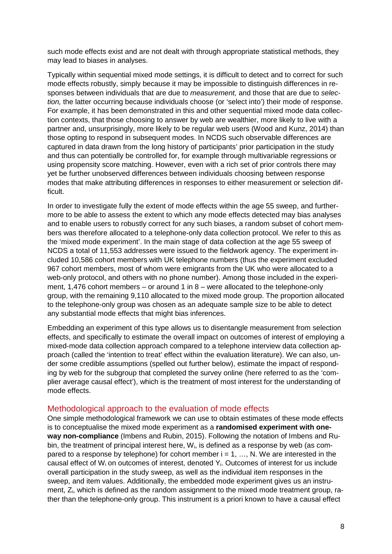such mode effects exist and are not dealt with through appropriate statistical methods, they may lead to biases in analyses.

Typically within sequential mixed mode settings, it is difficult to detect and to correct for such mode effects robustly, simply because it may be impossible to distinguish differences in responses between individuals that are due to *measurement,* and those that are due to *selection,* the latter occurring because individuals choose (or 'select into') their mode of response. For example, it has been demonstrated in this and other sequential mixed mode data collection contexts, that those choosing to answer by web are wealthier, more likely to live with a partner and, unsurprisingly, more likely to be regular web users (Wood and Kunz, 2014) than those opting to respond in subsequent modes. In NCDS such observable differences are captured in data drawn from the long history of participants' prior participation in the study and thus can potentially be controlled for, for example through multivariable regressions or using propensity score matching. However, even with a rich set of prior controls there may yet be further unobserved differences between individuals choosing between response modes that make attributing differences in responses to either measurement or selection difficult.

In order to investigate fully the extent of mode effects within the age 55 sweep, and furthermore to be able to assess the extent to which any mode effects detected may bias analyses and to enable users to robustly correct for any such biases, a random subset of cohort members was therefore allocated to a telephone-only data collection protocol. We refer to this as the 'mixed mode experiment'. In the main stage of data collection at the age 55 sweep of NCDS a total of 11,553 addresses were issued to the fieldwork agency. The experiment included 10,586 cohort members with UK telephone numbers (thus the experiment excluded 967 cohort members, most of whom were emigrants from the UK who were allocated to a web-only protocol, and others with no phone number). Among those included in the experiment, 1,476 cohort members – or around 1 in  $8$  – were allocated to the telephone-only group, with the remaining 9,110 allocated to the mixed mode group. The proportion allocated to the telephone-only group was chosen as an adequate sample size to be able to detect any substantial mode effects that might bias inferences.

Embedding an experiment of this type allows us to disentangle measurement from selection effects, and specifically to estimate the overall impact on outcomes of interest of employing a mixed-mode data collection approach compared to a telephone interview data collection approach (called the 'intention to treat' effect within the evaluation literature). We can also, under some credible assumptions (spelled out further below), estimate the impact of responding by web for the subgroup that completed the survey online (here referred to as the 'complier average causal effect'), which is the treatment of most interest for the understanding of mode effects.

#### Methodological approach to the evaluation of mode effects

One simple methodological framework we can use to obtain estimates of these mode effects is to conceptualise the mixed mode experiment as a **randomised experiment with oneway non-compliance** (Imbens and Rubin, 2015). Following the notation of Imbens and Rubin, the treatment of principal interest here,  $W_i$ , is defined as a response by web (as compared to a response by telephone) for cohort member  $i = 1, \ldots, N$ . We are interested in the causal effect of  $W_i$  on outcomes of interest, denoted  $Y_i$ . Outcomes of interest for us include overall participation in the study sweep, as well as the individual item responses in the sweep, and item values. Additionally, the embedded mode experiment gives us an instrument, Zi, which is defined as the random assignment to the mixed mode treatment group, rather than the telephone-only group. This instrument is a priori known to have a causal effect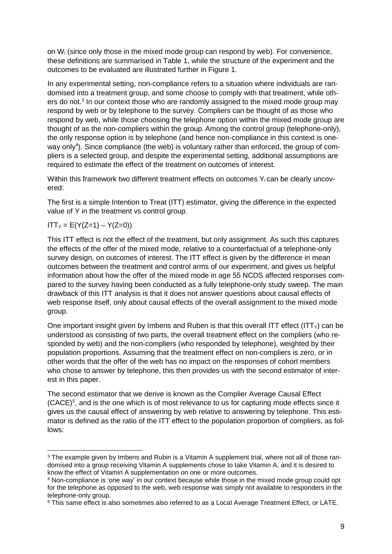on  $W_i$  (since only those in the mixed mode group can respond by web). For convenience, these definitions are summarised in Table 1, while the structure of the experiment and the outcomes to be evaluated are illustrated further in Figure 1.

In any experimental setting, non-compliance refers to a situation where individuals are randomised into a treatment group, and some choose to comply with that treatment, while others do not.<sup>3</sup> In our context those who are randomly assigned to the mixed mode group may respond by web or by telephone to the survey. Compliers can be thought of as those who respond by web, while those choosing the telephone option within the mixed mode group are thought of as the non-compliers within the group. Among the control group (telephone-only), the only response option is by telephone (and hence non-compliance in this context is oneway only<sup>4</sup>). Since compliance (the web) is voluntary rather than enforced, the group of compliers is a selected group, and despite the experimental setting, additional assumptions are required to estimate the effect of the treatment on outcomes of interest.

Within this framework two different treatment effects on outcomes Y<sub>i</sub> can be clearly uncovered:

The first is a simple Intention to Treat (ITT) estimator, giving the difference in the expected value of Y in the treatment vs control group.

 $ITT_Y = E(Y(Z=1) - Y(Z=0))$ 

This ITT effect is not the effect of the treatment, but only assignment. As such this captures the effects of the offer of the mixed mode, relative to a counterfactual of a telephone-only survey design, on outcomes of interest. The ITT effect is given by the difference in mean outcomes between the treatment and control arms of our experiment, and gives us helpful information about how the offer of the mixed mode in age 55 NCDS affected responses compared to the survey having been conducted as a fully telephone-only study sweep. The main drawback of this ITT analysis is that it does not answer questions about causal effects of web response itself, only about causal effects of the overall assignment to the mixed mode group.

One important insight given by Imbens and Ruben is that this overall ITT effect (ITT $_Y$ ) can be understood as consisting of two parts, the overall treatment effect on the compliers (who responded by web) and the non-compliers (who responded by telephone), weighted by their population proportions. Assuming that the treatment effect on non-compliers is zero, or in other words that the offer of the web has no impact on the responses of cohort members who chose to answer by telephone, this then provides us with the second estimator of interest in this paper.

The second estimator that we derive is known as the Complier Average Causal Effect (CACE)<sup>5</sup>, and is the one which is of most relevance to us for capturing mode effects since it gives us the causal effect of answering by web relative to answering by telephone. This estimator is defined as the ratio of the ITT effect to the population proportion of compliers, as follows:

 $3$  The example given by Imbens and Rubin is a Vitamin A supplement trial, where not all of those randomised into a group receiving Vitamin A supplements chose to take Vitamin A, and it is desired to know the effect of Vitamin A supplementation on one or more outcomes.

<sup>&</sup>lt;sup>4</sup> Non-compliance is 'one way' in our context because while those in the mixed mode group could opt for the telephone as opposed to the web, web response was simply not available to responders in the telephone-only group.

<sup>&</sup>lt;sup>5</sup> This same effect is also sometimes also referred to as a Local Average Treatment Effect, or LATE.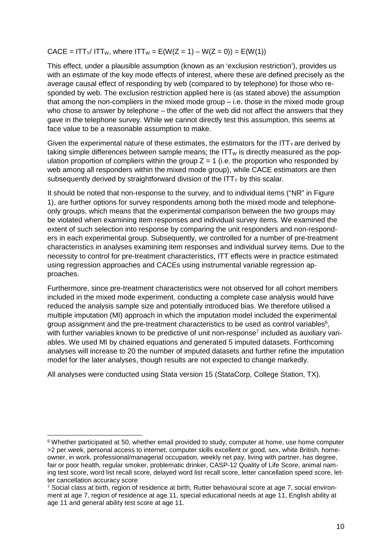$CACE = ITT_Y/ITT_W$ , where  $ITT_W = E(W(Z = 1) - W(Z = 0)) = E(W(1))$ 

This effect, under a plausible assumption (known as an 'exclusion restriction'), provides us with an estimate of the key mode effects of interest, where these are defined precisely as the average causal effect of responding by web (compared to by telephone) for those who responded by web. The exclusion restriction applied here is (as stated above) the assumption that among the non-compliers in the mixed mode group – i.e. those in the mixed mode group who chose to answer by telephone – the offer of the web did not affect the answers that they gave in the telephone survey. While we cannot directly test this assumption, this seems at face value to be a reasonable assumption to make.

Given the experimental nature of these estimates, the estimators for the  $IT_Y$  are derived by taking simple differences between sample means; the  $ITW$  is directly measured as the population proportion of compliers within the group  $Z = 1$  (i.e. the proportion who responded by web among all responders within the mixed mode group), while CACE estimators are then subsequently derived by straightforward division of the  $ITYY$  by this scalar.

It should be noted that non-response to the survey, and to individual items ("NR" in Figure 1), are further options for survey respondents among both the mixed mode and telephoneonly groups, which means that the experimental comparison between the two groups may be violated when examining item responses and individual survey items. We examined the extent of such selection into response by comparing the unit responders and non-responders in each experimental group. Subsequently, we controlled for a number of pre-treatment characteristics in analyses examining item responses and individual survey items. Due to the necessity to control for pre-treatment characteristics, ITT effects were in practice estimated using regression approaches and CACEs using instrumental variable regression approaches.

Furthermore, since pre-treatment characteristics were not observed for all cohort members included in the mixed mode experiment, conducting a complete case analysis would have reduced the analysis sample size and potentially introduced bias. We therefore utilised a multiple imputation (MI) approach in which the imputation model included the experimental group assignment and the pre-treatment characteristics to be used as control variables $6$ , with further variables known to be predictive of unit non-response<sup>7</sup> included as auxiliary variables. We used MI by chained equations and generated 5 imputed datasets. Forthcoming analyses will increase to 20 the number of imputed datasets and further refine the imputation model for the later analyses, though results are not expected to change markedly.

All analyses were conducted using Stata version 15 (StataCorp, College Station, TX).

<sup>&</sup>lt;sup>6</sup> Whether participated at 50, whether email provided to study, computer at home, use home computer >2 per week, personal access to internet, computer skills excellent or good, sex, white British, homeowner, in work, professional/managerial occupation, weekly net pay, living with partner, has degree, fair or poor health, regular smoker, problematic drinker, CASP-12 Quality of Life Score, animal naming test score, word list recall score, delayed word list recall score, letter cancellation speed score, letter cancellation accuracy score

<sup>7</sup> Social class at birth, region of residence at birth, Rutter behavioural score at age 7, social environment at age 7, region of residence at age 11, special educational needs at age 11, English ability at age 11 and general ability test score at age 11.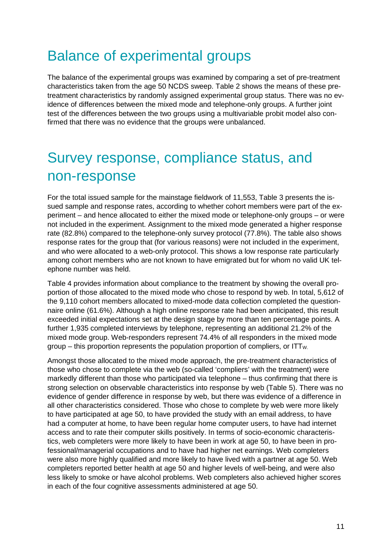## Balance of experimental groups

The balance of the experimental groups was examined by comparing a set of pre-treatment characteristics taken from the age 50 NCDS sweep. Table 2 shows the means of these pretreatment characteristics by randomly assigned experimental group status. There was no evidence of differences between the mixed mode and telephone-only groups. A further joint test of the differences between the two groups using a multivariable probit model also confirmed that there was no evidence that the groups were unbalanced.

## Survey response, compliance status, and non-response

For the total issued sample for the mainstage fieldwork of 11,553, Table 3 presents the issued sample and response rates, according to whether cohort members were part of the experiment – and hence allocated to either the mixed mode or telephone-only groups – or were not included in the experiment. Assignment to the mixed mode generated a higher response rate (82.8%) compared to the telephone-only survey protocol (77.8%). The table also shows response rates for the group that (for various reasons) were not included in the experiment, and who were allocated to a web-only protocol. This shows a low response rate particularly among cohort members who are not known to have emigrated but for whom no valid UK telephone number was held.

Table 4 provides information about compliance to the treatment by showing the overall proportion of those allocated to the mixed mode who chose to respond by web. In total, 5,612 of the 9,110 cohort members allocated to mixed-mode data collection completed the questionnaire online (61.6%). Although a high online response rate had been anticipated, this result exceeded initial expectations set at the design stage by more than ten percentage points. A further 1,935 completed interviews by telephone, representing an additional 21.2% of the mixed mode group. Web-responders represent 74.4% of all responders in the mixed mode group – this proportion represents the population proportion of compliers, or  $ITT_{W}$ .

Amongst those allocated to the mixed mode approach, the pre-treatment characteristics of those who chose to complete via the web (so-called 'compliers' with the treatment) were markedly different than those who participated via telephone – thus confirming that there is strong selection on observable characteristics into response by web (Table 5). There was no evidence of gender difference in response by web, but there was evidence of a difference in all other characteristics considered. Those who chose to complete by web were more likely to have participated at age 50, to have provided the study with an email address, to have had a computer at home, to have been regular home computer users, to have had internet access and to rate their computer skills positively. In terms of socio-economic characteristics, web completers were more likely to have been in work at age 50, to have been in professional/managerial occupations and to have had higher net earnings. Web completers were also more highly qualified and more likely to have lived with a partner at age 50. Web completers reported better health at age 50 and higher levels of well-being, and were also less likely to smoke or have alcohol problems. Web completers also achieved higher scores in each of the four cognitive assessments administered at age 50.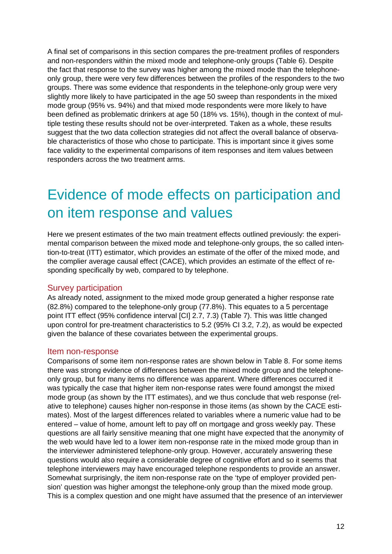A final set of comparisons in this section compares the pre-treatment profiles of responders and non-responders within the mixed mode and telephone-only groups (Table 6). Despite the fact that response to the survey was higher among the mixed mode than the telephoneonly group, there were very few differences between the profiles of the responders to the two groups. There was some evidence that respondents in the telephone-only group were very slightly more likely to have participated in the age 50 sweep than respondents in the mixed mode group (95% vs. 94%) and that mixed mode respondents were more likely to have been defined as problematic drinkers at age 50 (18% vs. 15%), though in the context of multiple testing these results should not be over-interpreted. Taken as a whole, these results suggest that the two data collection strategies did not affect the overall balance of observable characteristics of those who chose to participate. This is important since it gives some face validity to the experimental comparisons of item responses and item values between responders across the two treatment arms.

# Evidence of mode effects on participation and on item response and values

Here we present estimates of the two main treatment effects outlined previously: the experimental comparison between the mixed mode and telephone-only groups, the so called intention-to-treat (ITT) estimator, which provides an estimate of the offer of the mixed mode, and the complier average causal effect (CACE), which provides an estimate of the effect of responding specifically by web, compared to by telephone.

## Survey participation

As already noted, assignment to the mixed mode group generated a higher response rate (82.8%) compared to the telephone-only group (77.8%). This equates to a 5 percentage point ITT effect (95% confidence interval [CI] 2.7, 7.3) (Table 7). This was little changed upon control for pre-treatment characteristics to 5.2 (95% CI 3.2, 7.2), as would be expected given the balance of these covariates between the experimental groups.

#### Item non-response

Comparisons of some item non-response rates are shown below in Table 8. For some items there was strong evidence of differences between the mixed mode group and the telephoneonly group, but for many items no difference was apparent. Where differences occurred it was typically the case that higher item non-response rates were found amongst the mixed mode group (as shown by the ITT estimates), and we thus conclude that web response (relative to telephone) causes higher non-response in those items (as shown by the CACE estimates). Most of the largest differences related to variables where a numeric value had to be entered – value of home, amount left to pay off on mortgage and gross weekly pay. These questions are all fairly sensitive meaning that one might have expected that the anonymity of the web would have led to a lower item non-response rate in the mixed mode group than in the interviewer administered telephone-only group. However, accurately answering these questions would also require a considerable degree of cognitive effort and so it seems that telephone interviewers may have encouraged telephone respondents to provide an answer. Somewhat surprisingly, the item non-response rate on the 'type of employer provided pension' question was higher amongst the telephone-only group than the mixed mode group. This is a complex question and one might have assumed that the presence of an interviewer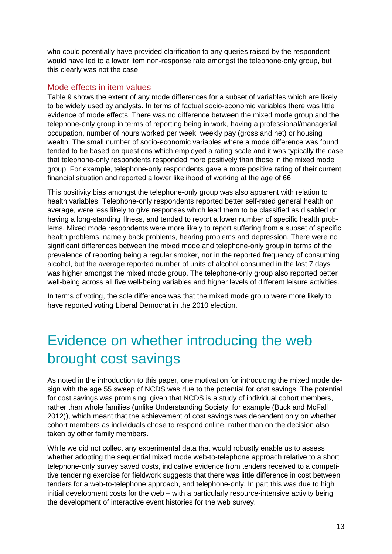who could potentially have provided clarification to any queries raised by the respondent would have led to a lower item non-response rate amongst the telephone-only group, but this clearly was not the case.

## Mode effects in item values

Table 9 shows the extent of any mode differences for a subset of variables which are likely to be widely used by analysts. In terms of factual socio-economic variables there was little evidence of mode effects. There was no difference between the mixed mode group and the telephone-only group in terms of reporting being in work, having a professional/managerial occupation, number of hours worked per week, weekly pay (gross and net) or housing wealth. The small number of socio-economic variables where a mode difference was found tended to be based on questions which employed a rating scale and it was typically the case that telephone-only respondents responded more positively than those in the mixed mode group. For example, telephone-only respondents gave a more positive rating of their current financial situation and reported a lower likelihood of working at the age of 66.

This positivity bias amongst the telephone-only group was also apparent with relation to health variables. Telephone-only respondents reported better self-rated general health on average, were less likely to give responses which lead them to be classified as disabled or having a long-standing illness, and tended to report a lower number of specific health problems. Mixed mode respondents were more likely to report suffering from a subset of specific health problems, namely back problems, hearing problems and depression. There were no significant differences between the mixed mode and telephone-only group in terms of the prevalence of reporting being a regular smoker, nor in the reported frequency of consuming alcohol, but the average reported number of units of alcohol consumed in the last 7 days was higher amongst the mixed mode group. The telephone-only group also reported better well-being across all five well-being variables and higher levels of different leisure activities.

In terms of voting, the sole difference was that the mixed mode group were more likely to have reported voting Liberal Democrat in the 2010 election.

# Evidence on whether introducing the web brought cost savings

As noted in the introduction to this paper, one motivation for introducing the mixed mode design with the age 55 sweep of NCDS was due to the potential for cost savings. The potential for cost savings was promising, given that NCDS is a study of individual cohort members, rather than whole families (unlike Understanding Society, for example (Buck and McFall 2012)), which meant that the achievement of cost savings was dependent only on whether cohort members as individuals chose to respond online, rather than on the decision also taken by other family members.

While we did not collect any experimental data that would robustly enable us to assess whether adopting the sequential mixed mode web-to-telephone approach relative to a short telephone-only survey saved costs, indicative evidence from tenders received to a competitive tendering exercise for fieldwork suggests that there was little difference in cost between tenders for a web-to-telephone approach, and telephone-only. In part this was due to high initial development costs for the web – with a particularly resource-intensive activity being the development of interactive event histories for the web survey.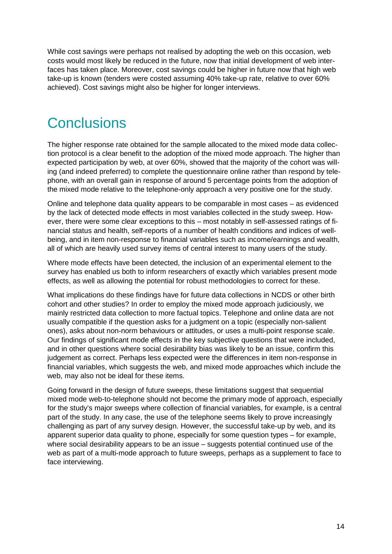While cost savings were perhaps not realised by adopting the web on this occasion, web costs would most likely be reduced in the future, now that initial development of web interfaces has taken place. Moreover, cost savings could be higher in future now that high web take-up is known (tenders were costed assuming 40% take-up rate, relative to over 60% achieved). Cost savings might also be higher for longer interviews.

## **Conclusions**

The higher response rate obtained for the sample allocated to the mixed mode data collection protocol is a clear benefit to the adoption of the mixed mode approach. The higher than expected participation by web, at over 60%, showed that the majority of the cohort was willing (and indeed preferred) to complete the questionnaire online rather than respond by telephone, with an overall gain in response of around 5 percentage points from the adoption of the mixed mode relative to the telephone-only approach a very positive one for the study.

Online and telephone data quality appears to be comparable in most cases – as evidenced by the lack of detected mode effects in most variables collected in the study sweep. However, there were some clear exceptions to this – most notably in self-assessed ratings of financial status and health, self-reports of a number of health conditions and indices of wellbeing, and in item non-response to financial variables such as income/earnings and wealth, all of which are heavily used survey items of central interest to many users of the study.

Where mode effects have been detected, the inclusion of an experimental element to the survey has enabled us both to inform researchers of exactly which variables present mode effects, as well as allowing the potential for robust methodologies to correct for these.

What implications do these findings have for future data collections in NCDS or other birth cohort and other studies? In order to employ the mixed mode approach judiciously, we mainly restricted data collection to more factual topics. Telephone and online data are not usually compatible if the question asks for a judgment on a topic (especially non-salient ones), asks about non-norm behaviours or attitudes, or uses a multi-point response scale. Our findings of significant mode effects in the key subjective questions that were included, and in other questions where social desirability bias was likely to be an issue, confirm this judgement as correct. Perhaps less expected were the differences in item non-response in financial variables, which suggests the web, and mixed mode approaches which include the web, may also not be ideal for these items.

Going forward in the design of future sweeps, these limitations suggest that sequential mixed mode web-to-telephone should not become the primary mode of approach, especially for the study's major sweeps where collection of financial variables, for example, is a central part of the study. In any case, the use of the telephone seems likely to prove increasingly challenging as part of any survey design. However, the successful take-up by web, and its apparent superior data quality to phone, especially for some question types – for example, where social desirability appears to be an issue – suggests potential continued use of the web as part of a multi-mode approach to future sweeps, perhaps as a supplement to face to face interviewing.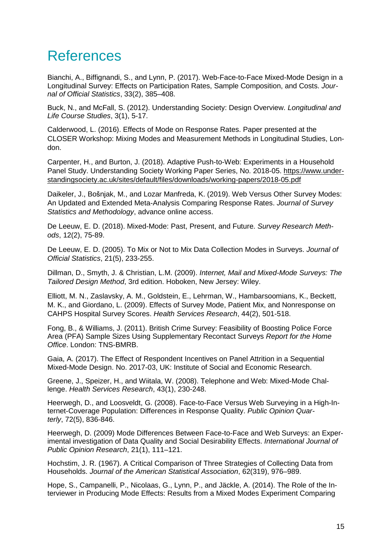## References

Bianchi, A., Biffignandi, S., and Lynn, P. (2017). Web-Face-to-Face Mixed-Mode Design in a Longitudinal Survey: Effects on Participation Rates, Sample Composition, and Costs. *Journal of Official Statistics*, 33(2), 385–408.

Buck, N., and McFall, S. (2012). Understanding Society: Design Overview. *Longitudinal and Life Course Studies*, 3(1), 5-17.

Calderwood, L. (2016). Effects of Mode on Response Rates. Paper presented at the CLOSER Workshop: Mixing Modes and Measurement Methods in Longitudinal Studies, London.

Carpenter, H., and Burton, J. (2018). Adaptive Push-to-Web: Experiments in a Household Panel Study. Understanding Society Working Paper Series, No. 2018-05. https://www.understandingsociety.ac.uk/sites/default/files/downloads/working-papers/2018-05.pdf

Daikeler, J., Bošnjak, M., and Lozar Manfreda, K. (2019). Web Versus Other Survey Modes: An Updated and Extended Meta-Analysis Comparing Response Rates. *Journal of Survey Statistics and Methodology*, advance online access.

De Leeuw, E. D. (2018). Mixed-Mode: Past, Present, and Future. *Survey Research Methods*, 12(2), 75-89.

De Leeuw, E. D. (2005). To Mix or Not to Mix Data Collection Modes in Surveys. *Journal of Official Statistics*, 21(5), 233-255.

Dillman, D., Smyth, J. & Christian, L.M. (2009). *Internet, Mail and Mixed-Mode Surveys: The Tailored Design Method*, 3rd edition. Hoboken, New Jersey: Wiley.

Elliott, M. N., Zaslavsky, A. M., Goldstein, E., Lehrman, W., Hambarsoomians, K., Beckett, M. K., and Giordano, L. (2009). Effects of Survey Mode, Patient Mix, and Nonresponse on CAHPS Hospital Survey Scores. *Health Services Research*, 44(2), 501-518.

Fong, B., & Williams, J. (2011). British Crime Survey: Feasibility of Boosting Police Force Area (PFA) Sample Sizes Using Supplementary Recontact Surveys *Report for the Home Office*. London: TNS-BMRB.

Gaia, A. (2017). The Effect of Respondent Incentives on Panel Attrition in a Sequential Mixed-Mode Design. No. 2017-03, UK: Institute of Social and Economic Research.

Greene, J., Speizer, H., and Wiitala, W. (2008). Telephone and Web: Mixed-Mode Challenge. *Health Services Research*, 43(1), 230-248.

Heerwegh, D., and Loosveldt, G. (2008). Face-to-Face Versus Web Surveying in a High-Internet-Coverage Population: Differences in Response Quality. *Public Opinion Quarterly*, 72(5), 836-846.

Heerwegh, D. (2009) Mode Differences Between Face-to-Face and Web Surveys: an Experimental investigation of Data Quality and Social Desirability Effects. *International Journal of Public Opinion Research*, 21(1), 111–121.

Hochstim, J. R. (1967). A Critical Comparison of Three Strategies of Collecting Data from Households. *Journal of the American Statistical Association*, 62(319), 976–989.

Hope, S., Campanelli, P., Nicolaas, G., Lynn, P., and Jäckle, A. (2014). The Role of the Interviewer in Producing Mode Effects: Results from a Mixed Modes Experiment Comparing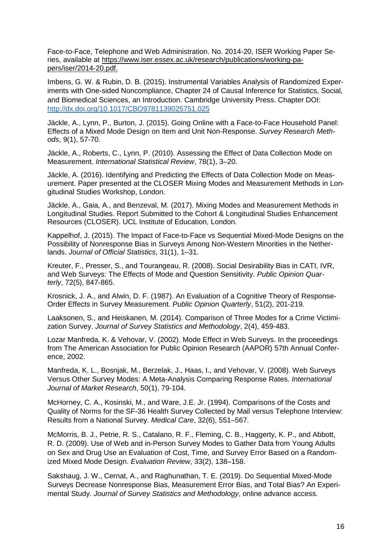Face-to-Face, Telephone and Web Administration. No. 2014-20, ISER Working Paper Series, available at https://www.iser.essex.ac.uk/research/publications/working-papers/iser/2014-20.pdf.

Imbens, G. W. & Rubin, D. B. (2015). Instrumental Variables Analysis of Randomized Experiments with One-sided Noncompliance, Chapter 24 of Causal Inference for Statistics, Social, and Biomedical Sciences, an Introduction. Cambridge University Press. Chapter DOI: http://dx.doi.org/10.1017/CBO9781139025751.025

Jäckle, A., Lynn, P., Burton, J. (2015). Going Online with a Face-to-Face Household Panel: Effects of a Mixed Mode Design on Item and Unit Non-Response. *Survey Research Methods*, 9(1), 57-70.

Jäckle, A., Roberts, C., Lynn, P. (2010). Assessing the Effect of Data Collection Mode on Measurement. *International Statistical Review*, 78(1), 3–20.

Jäckle, A. (2016). Identifying and Predicting the Effects of Data Collection Mode on Measurement. Paper presented at the CLOSER Mixing Modes and Measurement Methods in Longitudinal Studies Workshop, London.

Jäckle, A., Gaia, A., and Benzeval, M. (2017). Mixing Modes and Measurement Methods in Longitudinal Studies. Report Submitted to the Cohort & Longitudinal Studies Enhancement Resources (CLOSER). UCL Institute of Education, London.

Kappelhof, J. (2015). The Impact of Face-to-Face vs Sequential Mixed-Mode Designs on the Possibility of Nonresponse Bias in Surveys Among Non-Western Minorities in the Netherlands. *Journal of Official Statistics*, 31(1), 1–31.

Kreuter, F., Presser, S., and Tourangeau, R. (2008). Social Desirability Bias in CATI, IVR, and Web Surveys: The Effects of Mode and Question Sensitivity. *Public Opinion Quarterly*, 72(5), 847-865.

Krosnick, J. A., and Alwin, D. F. (1987). An Evaluation of a Cognitive Theory of Response-Order Effects in Survey Measurement. *Public Opinion Quarterly*, 51(2), 201-219.

Laaksonen, S., and Heiskanen, M. (2014). Comparison of Three Modes for a Crime Victimization Survey. *Journal of Survey Statistics and Methodology*, 2(4), 459-483.

Lozar Manfreda, K. & Vehovar, V. (2002). Mode Effect in Web Surveys. In the proceedings from The American Association for Public Opinion Research (AAPOR) 57th Annual Conference, 2002.

Manfreda, K. L., Bosnjak, M., Berzelak, J., Haas, I., and Vehovar, V. (2008). Web Surveys Versus Other Survey Modes: A Meta-Analysis Comparing Response Rates. *International Journal of Market Research*, 50(1), 79-104.

McHorney, C. A., Kosinski, M., and Ware, J.E. Jr. (1994). Comparisons of the Costs and Quality of Norms for the SF-36 Health Survey Collected by Mail versus Telephone Interview: Results from a National Survey. *Medical Care*, 32(6), 551–567.

McMorris, B. J., Petrie, R. S., Catalano, R. F., Fleming, C. B., Haggerty, K. P., and Abbott, R. D. (2009). Use of Web and in-Person Survey Modes to Gather Data from Young Adults on Sex and Drug Use an Evaluation of Cost, Time, and Survey Error Based on a Randomized Mixed Mode Design. *Evaluation Review*, 33(2), 138–158.

Sakshaug, J. W., Cernat, A., and Raghunathan, T. E. (2019). Do Sequential Mixed-Mode Surveys Decrease Nonresponse Bias, Measurement Error Bias, and Total Bias? An Experimental Study. *Journal of Survey Statistics and Methodology*, online advance access.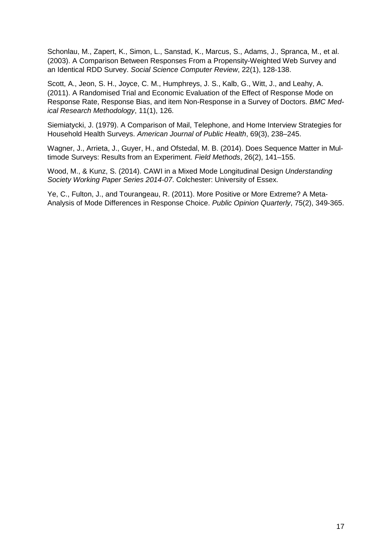Schonlau, M., Zapert, K., Simon, L., Sanstad, K., Marcus, S., Adams, J., Spranca, M., et al. (2003). A Comparison Between Responses From a Propensity-Weighted Web Survey and an Identical RDD Survey. *Social Science Computer Review*, 22(1), 128-138.

Scott, A., Jeon, S. H., Joyce, C. M., Humphreys, J. S., Kalb, G., Witt, J., and Leahy, A. (2011). A Randomised Trial and Economic Evaluation of the Effect of Response Mode on Response Rate, Response Bias, and item Non-Response in a Survey of Doctors. *BMC Medical Research Methodology*, 11(1), 126.

Siemiatycki, J. (1979). A Comparison of Mail, Telephone, and Home Interview Strategies for Household Health Surveys. *American Journal of Public Health*, 69(3), 238–245.

Wagner, J., Arrieta, J., Guyer, H., and Ofstedal, M. B. (2014). Does Sequence Matter in Multimode Surveys: Results from an Experiment. *Field Methods*, 26(2), 141–155.

Wood, M., & Kunz, S. (2014). CAWI in a Mixed Mode Longitudinal Design *Understanding Society Working Paper Series 2014-07*. Colchester: University of Essex.

Ye, C., Fulton, J., and Tourangeau, R. (2011). More Positive or More Extreme? A Meta-Analysis of Mode Differences in Response Choice. *Public Opinion Quarterly*, 75(2), 349-365.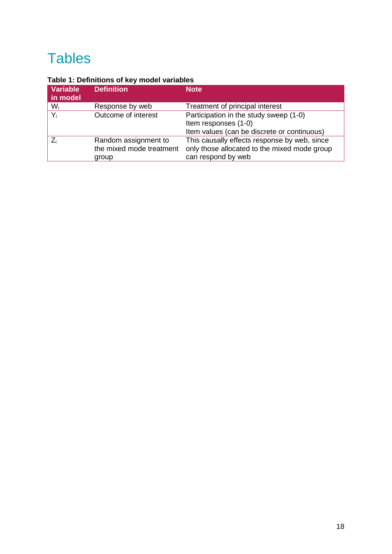# **Tables**

## **Table 1: Definitions of key model variables**

| Variable<br>in model | <b>Definition</b>                                         | <b>Note</b>                                                                                                        |
|----------------------|-----------------------------------------------------------|--------------------------------------------------------------------------------------------------------------------|
| $W_i$                | Response by web                                           | Treatment of principal interest                                                                                    |
| $Y_i$                | Outcome of interest                                       | Participation in the study sweep (1-0)<br>Item responses (1-0)                                                     |
|                      |                                                           | Item values (can be discrete or continuous)                                                                        |
|                      | Random assignment to<br>the mixed mode treatment<br>group | This causally effects response by web, since<br>only those allocated to the mixed mode group<br>can respond by web |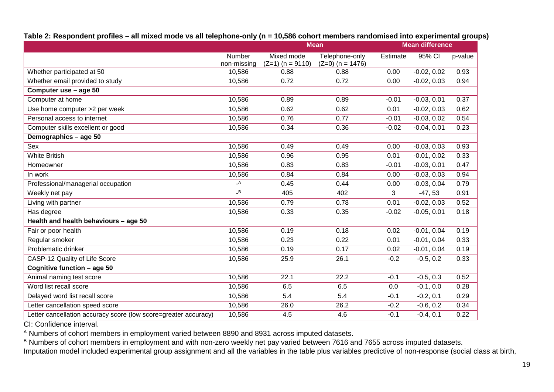## **Table 2: Respondent profiles – all mixed mode vs all telephone-only (n = 10,586 cohort members randomised into experimental groups)**

|                                                                 |                          |                    | <b>Mean</b>        |          | <b>Mean difference</b> |         |
|-----------------------------------------------------------------|--------------------------|--------------------|--------------------|----------|------------------------|---------|
|                                                                 | Number                   | Mixed mode         | Telephone-only     | Estimate | 95% CI                 | p-value |
|                                                                 | non-missing              | $(Z=1)$ (n = 9110) | $(Z=0)$ (n = 1476) |          |                        |         |
| Whether participated at 50                                      | 10,586                   | 0.88               | 0.88               | 0.00     | $-0.02, 0.02$          | 0.93    |
| Whether email provided to study                                 | 10,586                   | 0.72               | 0.72               | 0.00     | $-0.02, 0.03$          | 0.94    |
| Computer use - age 50                                           |                          |                    |                    |          |                        |         |
| Computer at home                                                | 10,586                   | 0.89               | 0.89               | $-0.01$  | $-0.03, 0.01$          | 0.37    |
| Use home computer >2 per week                                   | 10,586                   | 0.62               | 0.62               | 0.01     | $-0.02, 0.03$          | 0.62    |
| Personal access to internet                                     | 10,586                   | 0.76               | 0.77               | $-0.01$  | $-0.03, 0.02$          | 0.54    |
| Computer skills excellent or good                               | 10,586                   | 0.34               | 0.36               | $-0.02$  | $-0.04, 0.01$          | 0.23    |
| Demographics - age 50                                           |                          |                    |                    |          |                        |         |
| Sex                                                             | 10,586                   | 0.49               | 0.49               | 0.00     | $-0.03, 0.03$          | 0.93    |
| <b>White British</b>                                            | 10,586                   | 0.96               | 0.95               | 0.01     | $-0.01, 0.02$          | 0.33    |
| Homeowner                                                       | 10,586                   | 0.83               | 0.83               | $-0.01$  | $-0.03, 0.01$          | 0.47    |
| In work                                                         | 10,586                   | 0.84               | 0.84               | 0.00     | $-0.03, 0.03$          | 0.94    |
| Professional/managerial occupation                              | $\overline{\mathsf{A}}$  | 0.45               | 0.44               | 0.00     | $-0.03, 0.04$          | 0.79    |
| Weekly net pay                                                  | $\overline{\phantom{a}}$ | 405                | 402                | 3        | $-47,53$               | 0.91    |
| Living with partner                                             | 10,586                   | 0.79               | 0.78               | 0.01     | $-0.02, 0.03$          | 0.52    |
| Has degree                                                      | 10,586                   | 0.33               | 0.35               | $-0.02$  | $-0.05, 0.01$          | 0.18    |
| Health and health behaviours - age 50                           |                          |                    |                    |          |                        |         |
| Fair or poor health                                             | 10,586                   | 0.19               | 0.18               | 0.02     | $-0.01, 0.04$          | 0.19    |
| Regular smoker                                                  | 10,586                   | 0.23               | 0.22               | 0.01     | $-0.01, 0.04$          | 0.33    |
| Problematic drinker                                             | 10,586                   | 0.19               | 0.17               | 0.02     | $-0.01, 0.04$          | 0.19    |
| CASP-12 Quality of Life Score                                   | 10,586                   | 25.9               | 26.1               | $-0.2$   | $-0.5, 0.2$            | 0.33    |
| Cognitive function - age 50                                     |                          |                    |                    |          |                        |         |
| Animal naming test score                                        | 10,586                   | 22.1               | 22.2               | $-0.1$   | $-0.5, 0.3$            | 0.52    |
| Word list recall score                                          | 10,586                   | 6.5                | 6.5                | 0.0      | $-0.1, 0.0$            | 0.28    |
| Delayed word list recall score                                  | 10,586                   | 5.4                | 5.4                | $-0.1$   | $-0.2, 0.1$            | 0.29    |
| Letter cancellation speed score                                 | 10,586                   | 26.0               | 26.2               | $-0.2$   | $-0.6, 0.2$            | 0.34    |
| Letter cancellation accuracy score (low score=greater accuracy) | 10,586                   | 4.5                | 4.6                | $-0.1$   | $-0.4, 0.1$            | 0.22    |

CI: Confidence interval.

<sup>A</sup> Numbers of cohort members in employment varied between 8890 and 8931 across imputed datasets.

<sup>B</sup> Numbers of cohort members in employment and with non-zero weekly net pay varied between 7616 and 7655 across imputed datasets.

Imputation model included experimental group assignment and all the variables in the table plus variables predictive of non-response (social class at birth,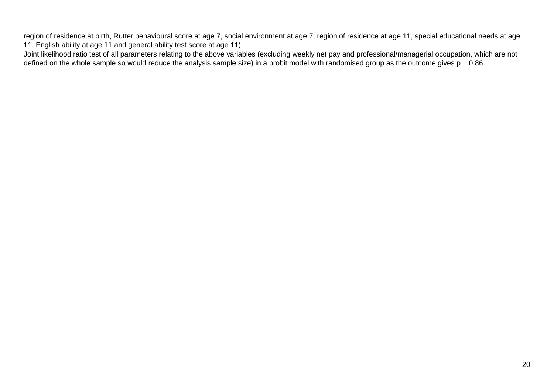region of residence at birth, Rutter behavioural score at age 7, social environment at age 7, region of residence at age 11, special educational needs at age 11, English ability at age 11 and general ability test score at age 11).

Joint likelihood ratio test of all parameters relating to the above variables (excluding weekly net pay and professional/managerial occupation, which are not defined on the whole sample so would reduce the analysis sample size) in a probit model with randomised group as the outcome gives  $p = 0.86$ .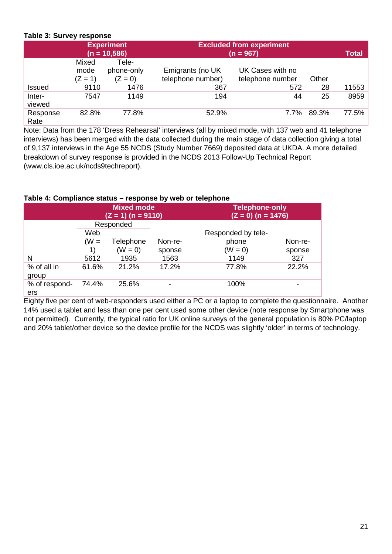### **Table 3: Survey response**

|                  |                            | <b>Experiment</b><br>$(n = 10,586)$ |                                       | <b>Excluded from experiment</b><br>$(n = 967)$ |       |              |  |  |  |  |  |
|------------------|----------------------------|-------------------------------------|---------------------------------------|------------------------------------------------|-------|--------------|--|--|--|--|--|
|                  | Mixed<br>mode<br>$(Z = 1)$ | Tele-<br>phone-only<br>$(Z = 0)$    | Emigrants (no UK<br>telephone number) | UK Cases with no<br>telephone number           | Other | <b>Total</b> |  |  |  |  |  |
| Issued           | 9110                       | 1476                                | 367                                   | 572                                            | 28    | 11553        |  |  |  |  |  |
| Inter-<br>viewed | 7547                       | 1149                                | 194                                   | 44                                             | 25    | 8959         |  |  |  |  |  |
| Response<br>Rate | 82.8%                      | 77.8%                               | 52.9%                                 | $7.7\%$                                        | 89.3% | 77.5%        |  |  |  |  |  |

Note: Data from the 178 'Dress Rehearsal' interviews (all by mixed mode, with 137 web and 41 telephone interviews) has been merged with the data collected during the main stage of data collection giving a total of 9,137 interviews in the Age 55 NCDS (Study Number 7669) deposited data at UKDA. A more detailed breakdown of survey response is provided in the NCDS 2013 Follow-Up Technical Report (www.cls.ioe.ac.uk/ncds9techreport).

#### **Table 4: Compliance status – response by web or telephone**

|               |        | <b>Mixed mode</b><br>$(Z = 1)$ (n = 9110) |         | <b>Telephone-only</b><br>$(Z = 0)$ (n = 1476) |         |
|---------------|--------|-------------------------------------------|---------|-----------------------------------------------|---------|
|               |        | Responded                                 |         |                                               |         |
|               | Web    |                                           |         | Responded by tele-                            |         |
|               | $(W =$ | Telephone                                 | Non-re- | phone                                         | Non-re- |
|               |        | $(W = 0)$                                 | sponse  | $(W = 0)$                                     | sponse  |
| N             | 5612   | 1935                                      | 1563    | 1149                                          | 327     |
| % of all in   | 61.6%  | 21.2%                                     | 17.2%   | 77.8%                                         | 22.2%   |
| group         |        |                                           |         |                                               |         |
| % of respond- | 74.4%  | 25.6%                                     |         | 100%                                          |         |
| ers           |        |                                           |         |                                               |         |

Eighty five per cent of web-responders used either a PC or a laptop to complete the questionnaire. Another 14% used a tablet and less than one per cent used some other device (note response by Smartphone was not permitted). Currently, the typical ratio for UK online surveys of the general population is 80% PC/laptop and 20% tablet/other device so the device profile for the NCDS was slightly 'older' in terms of technology.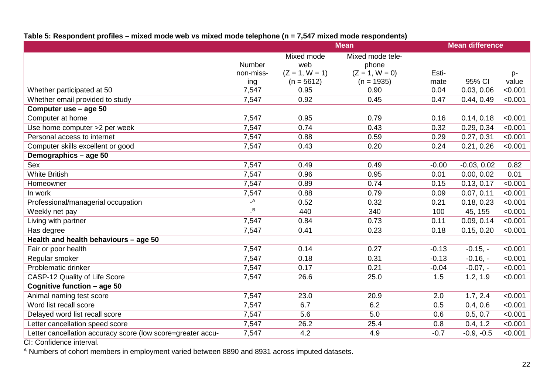## **Table 5: Respondent profiles – mixed mode web vs mixed mode telephone (n = 7,547 mixed mode respondents)**

|                                                             |                            | <b>Mean</b>      |                  | <b>Mean difference</b> |               |         |
|-------------------------------------------------------------|----------------------------|------------------|------------------|------------------------|---------------|---------|
|                                                             |                            | Mixed mode       | Mixed mode tele- |                        |               |         |
|                                                             | Number                     | web              | phone            |                        |               |         |
|                                                             | non-miss-                  | $(Z = 1, W = 1)$ | $(Z = 1, W = 0)$ | Esti-                  |               | p-      |
|                                                             | ing                        | $(n = 5612)$     | $(n = 1935)$     | mate                   | 95% CI        | value   |
| Whether participated at 50                                  | 7,547                      | 0.95             | 0.90             | 0.04                   | 0.03, 0.06    | < 0.001 |
| Whether email provided to study                             | 7,547                      | 0.92             | 0.45             | 0.47                   | 0.44, 0.49    | < 0.001 |
| Computer use - age 50                                       |                            |                  |                  |                        |               |         |
| Computer at home                                            | 7,547                      | 0.95             | 0.79             | 0.16                   | 0.14, 0.18    | < 0.001 |
| Use home computer >2 per week                               | 7,547                      | 0.74             | 0.43             | 0.32                   | 0.29, 0.34    | < 0.001 |
| Personal access to internet                                 | 7,547                      | 0.88             | 0.59             | 0.29                   | 0.27, 0.31    | < 0.001 |
| Computer skills excellent or good                           | 7,547                      | 0.43             | 0.20             | 0.24                   | 0.21, 0.26    | < 0.001 |
| Demographics - age 50                                       |                            |                  |                  |                        |               |         |
| <b>Sex</b>                                                  | 7,547                      | 0.49             | 0.49             | $-0.00$                | $-0.03, 0.02$ | 0.82    |
| <b>White British</b>                                        | 7,547                      | 0.96             | 0.95             | 0.01                   | 0.00, 0.02    | 0.01    |
| Homeowner                                                   | 7,547                      | 0.89             | 0.74             | 0.15                   | 0.13, 0.17    | < 0.001 |
| In work                                                     | 7,547                      | 0.88             | 0.79             | 0.09                   | 0.07, 0.11    | < 0.001 |
| Professional/managerial occupation                          | $\overline{\phantom{a}}$ A | 0.52             | 0.32             | 0.21                   | 0.18, 0.23    | < 0.001 |
| Weekly net pay                                              | $\overline{B}$             | 440              | 340              | 100                    | 45, 155       | < 0.001 |
| Living with partner                                         | 7,547                      | 0.84             | 0.73             | 0.11                   | 0.09, 0.14    | < 0.001 |
| Has degree                                                  | 7,547                      | 0.41             | 0.23             | 0.18                   | 0.15, 0.20    | < 0.001 |
| Health and health behaviours - age 50                       |                            |                  |                  |                        |               |         |
| Fair or poor health                                         | 7,547                      | 0.14             | 0.27             | $-0.13$                | $-0.15, -$    | < 0.001 |
| Regular smoker                                              | 7,547                      | 0.18             | 0.31             | $-0.13$                | $-0.16, -$    | < 0.001 |
| Problematic drinker                                         | 7,547                      | 0.17             | 0.21             | $-0.04$                | $-0.07, -$    | < 0.001 |
| CASP-12 Quality of Life Score                               | 7,547                      | 26.6             | 25.0             | 1.5                    | 1.2, 1.9      | < 0.001 |
| Cognitive function - age 50                                 |                            |                  |                  |                        |               |         |
| Animal naming test score                                    | 7,547                      | 23.0             | 20.9             | 2.0                    | 1.7, 2.4      | < 0.001 |
| Word list recall score                                      | 7,547                      | 6.7              | 6.2              | 0.5                    | 0.4, 0.6      | < 0.001 |
| Delayed word list recall score                              | 7,547                      | 5.6              | 5.0              | 0.6                    | 0.5, 0.7      | < 0.001 |
| Letter cancellation speed score                             | 7,547                      | 26.2             | 25.4             | 0.8                    | 0.4, 1.2      | < 0.001 |
| Letter cancellation accuracy score (low score=greater accu- | 7,547                      | 4.2              | 4.9              | $-0.7$                 | $-0.9, -0.5$  | < 0.001 |
|                                                             |                            |                  |                  |                        |               |         |

CI: Confidence interval.

<sup>A</sup> Numbers of cohort members in employment varied between 8890 and 8931 across imputed datasets.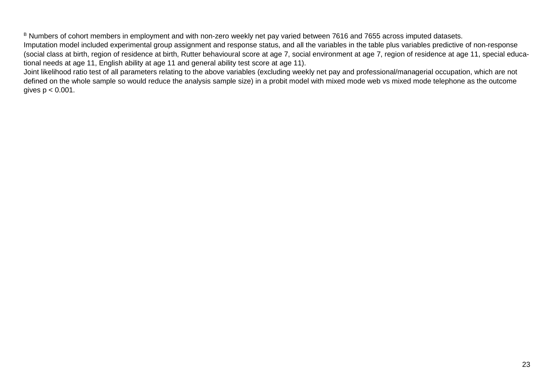<sup>B</sup> Numbers of cohort members in employment and with non-zero weekly net pay varied between 7616 and 7655 across imputed datasets. Imputation model included experimental group assignment and response status, and all the variables in the table plus variables predictive of non-response (social class at birth, region of residence at birth, Rutter behavioural score at age 7, social environment at age 7, region of residence at age 11, special educational needs at age 11, English ability at age 11 and general ability test score at age 11).

Joint likelihood ratio test of all parameters relating to the above variables (excluding weekly net pay and professional/managerial occupation, which are not defined on the whole sample so would reduce the analysis sample size) in a probit model with mixed mode web vs mixed mode telephone as the outcome gives  $p < 0.001$ .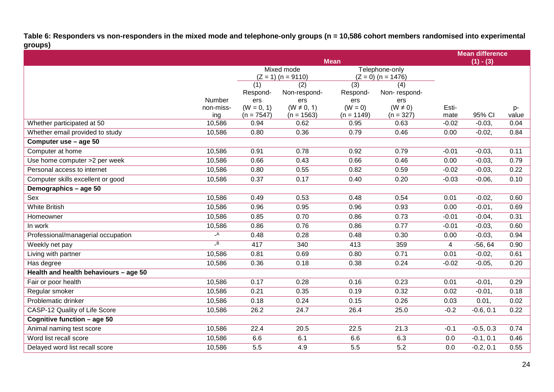**Table 6: Responders vs non-responders in the mixed mode and telephone-only groups (n = 10,586 cohort members randomised into experimental groups)** 

|                                       |                          |                     | <b>Mean</b>            | <b>Mean difference</b><br>$(1) - (3)$ |                                        |         |             |       |
|---------------------------------------|--------------------------|---------------------|------------------------|---------------------------------------|----------------------------------------|---------|-------------|-------|
|                                       |                          |                     | Mixed mode             |                                       |                                        |         |             |       |
|                                       |                          |                     | $(Z = 1)$ (n = 9110)   |                                       | Telephone-only<br>$(Z = 0)$ (n = 1476) |         |             |       |
|                                       |                          | (1)                 | (2)                    | (3)                                   | (4)                                    |         |             |       |
|                                       | Number                   | Respond-            | Non-respond-           | Respond-                              | Non-respond-                           |         |             |       |
|                                       | non-miss-                | ers<br>$(W = 0, 1)$ | ers<br>$(W \neq 0, 1)$ | ers<br>$(W = 0)$                      | ers<br>$(W \neq 0)$                    | Esti-   |             | $p-$  |
|                                       | ing                      | $(n = 7547)$        | $(n = 1563)$           | $(n = 1149)$                          | $(n = 327)$                            | mate    | 95% CI      | value |
| Whether participated at 50            | 10,586                   | 0.94                | 0.62                   | 0.95                                  | 0.63                                   | $-0.02$ | $-0.03,$    | 0.04  |
| Whether email provided to study       | 10,586                   | 0.80                | 0.36                   | 0.79                                  | 0.46                                   | 0.00    | $-0.02,$    | 0.84  |
| Computer use - age 50                 |                          |                     |                        |                                       |                                        |         |             |       |
| Computer at home                      | 10,586                   | 0.91                | 0.78                   | 0.92                                  | 0.79                                   | $-0.01$ | $-0.03,$    | 0.11  |
| Use home computer >2 per week         | 10,586                   | 0.66                | 0.43                   | 0.66                                  | 0.46                                   | 0.00    | $-0.03,$    | 0.79  |
| Personal access to internet           | 10,586                   | 0.80                | 0.55                   | 0.82                                  | 0.59                                   | $-0.02$ | $-0.03,$    | 0.22  |
| Computer skills excellent or good     | 10,586                   | 0.37                | 0.17                   | 0.40                                  | 0.20                                   | $-0.03$ | $-0.06$ ,   | 0.10  |
| Demographics - age 50                 |                          |                     |                        |                                       |                                        |         |             |       |
| Sex                                   | 10,586                   | 0.49                | 0.53                   | 0.48                                  | 0.54                                   | 0.01    | $-0.02,$    | 0.60  |
| <b>White British</b>                  | 10,586                   | 0.96                | 0.95                   | 0.96                                  | 0.93                                   | 0.00    | $-0.01$ ,   | 0.69  |
| Homeowner                             | 10,586                   | 0.85                | 0.70                   | 0.86                                  | 0.73                                   | $-0.01$ | $-0.04$     | 0.31  |
| In work                               | 10,586                   | 0.86                | 0.76                   | 0.86                                  | 0.77                                   | $-0.01$ | $-0.03,$    | 0.60  |
| Professional/managerial occupation    | $\overline{\phantom{a}}$ | 0.48                | 0.28                   | 0.48                                  | 0.30                                   | 0.00    | $-0.03,$    | 0.94  |
| Weekly net pay                        | $\overline{\phantom{a}}$ | 417                 | 340                    | 413                                   | 359                                    | 4       | $-56, 64$   | 0.90  |
| Living with partner                   | 10,586                   | 0.81                | 0.69                   | 0.80                                  | 0.71                                   | 0.01    | $-0.02,$    | 0.61  |
| Has degree                            | 10,586                   | 0.36                | 0.18                   | 0.38                                  | 0.24                                   | $-0.02$ | $-0.05,$    | 0.20  |
| Health and health behaviours - age 50 |                          |                     |                        |                                       |                                        |         |             |       |
| Fair or poor health                   | 10,586                   | 0.17                | 0.28                   | 0.16                                  | 0.23                                   | 0.01    | $-0.01$ ,   | 0.29  |
| Regular smoker                        | 10,586                   | 0.21                | 0.35                   | 0.19                                  | 0.32                                   | 0.02    | $-0.01$ ,   | 0.18  |
| Problematic drinker                   | 10,586                   | 0.18                | 0.24                   | 0.15                                  | 0.26                                   | 0.03    | 0.01,       | 0.02  |
| CASP-12 Quality of Life Score         | 10,586                   | 26.2                | 24.7                   | 26.4                                  | 25.0                                   | $-0.2$  | $-0.6, 0.1$ | 0.22  |
| Cognitive function - age 50           |                          |                     |                        |                                       |                                        |         |             |       |
| Animal naming test score              | 10,586                   | 22.4                | 20.5                   | 22.5                                  | 21.3                                   | $-0.1$  | $-0.5, 0.3$ | 0.74  |
| Word list recall score                | 10,586                   | 6.6                 | 6.1                    | 6.6                                   | 6.3                                    | 0.0     | $-0.1, 0.1$ | 0.46  |
| Delayed word list recall score        | 10,586                   | 5.5                 | 4.9                    | 5.5                                   | $\overline{5.2}$                       | 0.0     | $-0.2, 0.1$ | 0.55  |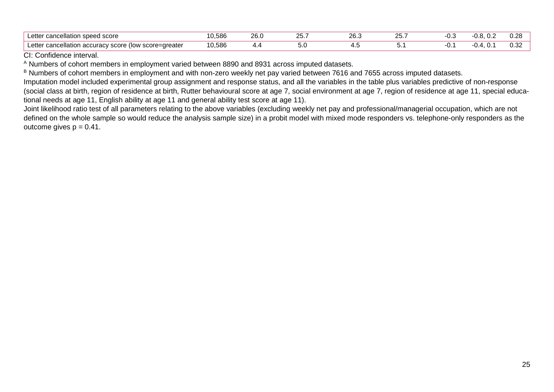| _ette<br>t cancellation speed score t                                                                          | 586<br>u.uuu | ~~<br>∠o.∪ | - - -<br>20. | ົ<br>∠∪.  | $\sim$<br>∼. | ט. | .<br>______ | ററ<br>◡.∠◡    |
|----------------------------------------------------------------------------------------------------------------|--------------|------------|--------------|-----------|--------------|----|-------------|---------------|
| _ette<br>-greate<br>u cooro<br>cancellation accuracy and<br>score<br>.<br>៶៲៶៸៳<br>$\ddot{\phantom{0}}$<br>. . | 586<br>v.vov | . .        | ぃ            | $\ddotsc$ | J.           | u. |             | $\sim$<br>◡.◡ |

CI: Confidence interval.

<sup>A</sup> Numbers of cohort members in employment varied between 8890 and 8931 across imputed datasets.

<sup>B</sup> Numbers of cohort members in employment and with non-zero weekly net pay varied between 7616 and 7655 across imputed datasets.

Imputation model included experimental group assignment and response status, and all the variables in the table plus variables predictive of non-response (social class at birth, region of residence at birth, Rutter behavioural score at age 7, social environment at age 7, region of residence at age 11, special educational needs at age 11, English ability at age 11 and general ability test score at age 11).

Joint likelihood ratio test of all parameters relating to the above variables (excluding weekly net pay and professional/managerial occupation, which are not defined on the whole sample so would reduce the analysis sample size) in a probit model with mixed mode responders vs. telephone-only responders as the outcome gives  $p = 0.41$ .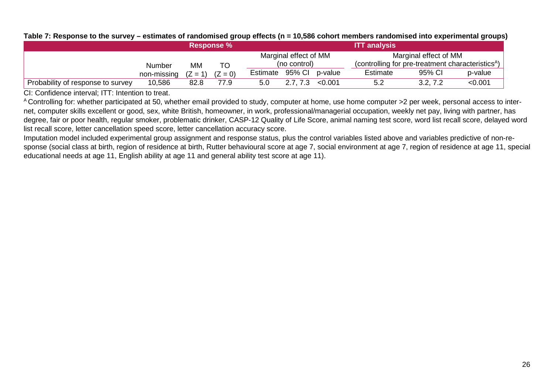|                                   |               | <b>ITT analysis</b><br><b>Response %</b> |           |          |                       |                |                                                               |                       |         |
|-----------------------------------|---------------|------------------------------------------|-----------|----------|-----------------------|----------------|---------------------------------------------------------------|-----------------------|---------|
|                                   |               |                                          |           |          | Marginal effect of MM |                |                                                               | Marginal effect of MM |         |
|                                   | <b>Number</b> | MМ                                       | TO        |          | (no control)          |                | (controlling for pre-treatment characteristics <sup>A</sup> ) |                       |         |
|                                   | non-missing   | $(Z = 1)$                                | $(Z = 0)$ | Estimate |                       | 95% CI p-value | Estimate                                                      | 95% CI                | p-value |
| Probability of response to survey | 10,586        | 82.8                                     | 77.9      | 5.0      | $2.7, 7.3$ < 0.001    |                |                                                               | 3.2, 7.2              | < 0.001 |

#### **Table 7: Response to the survey – estimates of randomised group effects (n = 10,586 cohort members randomised into experimental groups)**

CI: Confidence interval; ITT: Intention to treat.

<sup>A</sup> Controlling for: whether participated at 50, whether email provided to study, computer at home, use home computer >2 per week, personal access to internet, computer skills excellent or good, sex, white British, homeowner, in work, professional/managerial occupation, weekly net pay, living with partner, has degree, fair or poor health, regular smoker, problematic drinker, CASP-12 Quality of Life Score, animal naming test score, word list recall score, delayed word list recall score, letter cancellation speed score, letter cancellation accuracy score.

Imputation model included experimental group assignment and response status, plus the control variables listed above and variables predictive of non-response (social class at birth, region of residence at birth, Rutter behavioural score at age 7, social environment at age 7, region of residence at age 11, special educational needs at age 11, English ability at age 11 and general ability test score at age 11).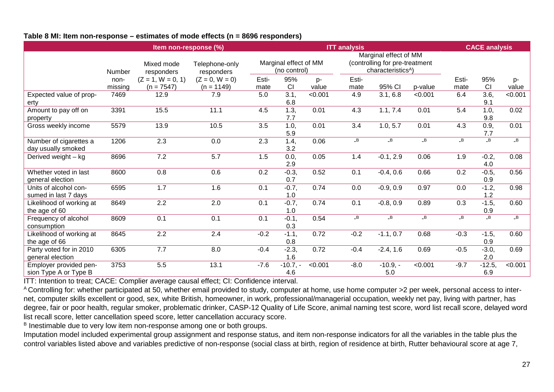#### **Table 8 MI: Item non-response – estimates of mode effects (n = 8696 responders)**

|                                                 |         | Item non-response (%)    |                              |        |                                       | <b>ITT</b> analysis |              | <b>CACE analysis</b>                                                                      |          |          |                 |                |
|-------------------------------------------------|---------|--------------------------|------------------------------|--------|---------------------------------------|---------------------|--------------|-------------------------------------------------------------------------------------------|----------|----------|-----------------|----------------|
|                                                 | Number  | Mixed mode<br>responders | Telephone-only<br>responders |        | Marginal effect of MM<br>(no control) |                     |              | Marginal effect of MM<br>(controlling for pre-treatment<br>characteristics <sup>A</sup> ) |          |          |                 |                |
|                                                 | non-    | $(Z = 1, W = 0, 1)$      | $(Z = 0, W = 0)$             | Esti-  | 95%                                   | p-                  | Esti-        |                                                                                           |          | Esti-    | 95%             | p-             |
|                                                 | missing | $(n = 7547)$             | $(n = 1149)$                 | mate   | CI                                    | value               | mate         | 95% CI                                                                                    | p-value  | mate     | <b>CI</b>       | value          |
| Expected value of prop-<br>erty                 | 7469    | 12.9                     | 7.9                          | 5.0    | 3.1,<br>6.8                           | < 0.001             | 4.9          | 3.1, 6.8                                                                                  | < 0.001  | 6.4      | 3.6,<br>9.1     | < 0.001        |
| Amount to pay off on<br>property                | 3391    | 15.5                     | 11.1                         | 4.5    | 1.3,<br>7.7                           | 0.01                | 4.3          | 1.1, 7.4                                                                                  | 0.01     | 5.4      | 1.0,<br>9.8     | 0.02           |
| Gross weekly income                             | 5579    | 13.9                     | 10.5                         | 3.5    | 1.0,<br>5.9                           | 0.01                | 3.4          | 1.0, 5.7                                                                                  | 0.01     | 4.3      | 0.9,<br>7.7     | 0.01           |
| Number of cigarettes a<br>day usually smoked    | 1206    | 2.3                      | 0.0                          | 2.3    | 1.4,<br>3.2                           | 0.06                | $\mathsf{B}$ | $\Box B$                                                                                  | $\Box B$ | $\Box B$ | $\Box$ B        | $\Box B$       |
| Derived weight - kg                             | 8696    | 7.2                      | 5.7                          | 1.5    | 0.0,<br>2.9                           | 0.05                | 1.4          | $-0.1, 2.9$                                                                               | 0.06     | 1.9      | $-0.2,$<br>4.0  | 0.08           |
| Whether voted in last<br>general election       | 8600    | 0.8                      | 0.6                          | 0.2    | $-0.3,$<br>0.7                        | 0.52                | 0.1          | $-0.4, 0.6$                                                                               | 0.66     | 0.2      | $-0.5,$<br>0.9  | 0.56           |
| Units of alcohol con-<br>sumed in last 7 days   | 6595    | 1.7                      | 1.6                          | 0.1    | $-0.7,$<br>1.0                        | 0.74                | 0.0          | $-0.9, 0.9$                                                                               | 0.97     | 0.0      | $-1.2,$<br>1.2  | 0.98           |
| Likelihood of working at<br>the age of 60       | 8649    | 2.2                      | 2.0                          | 0.1    | $-0.7,$<br>1.0                        | 0.74                | 0.1          | $-0.8, 0.9$                                                                               | 0.89     | 0.3      | $-1.5,$<br>0.9  | 0.60           |
| Frequency of alcohol<br>consumption             | 8609    | 0.1                      | 0.1                          | 0.1    | $-0.1,$<br>0.3                        | 0.54                | B            | $-B$                                                                                      | B        | B        | $\overline{B}$  | $\overline{B}$ |
| Likelihood of working at<br>the age of 66       | 8645    | 2.2                      | 2.4                          | $-0.2$ | $-1.1,$<br>0.8                        | 0.72                | $-0.2$       | $-1.1, 0.7$                                                                               | 0.68     | $-0.3$   | $-1.5,$<br>0.9  | 0.60           |
| Party voted for in 2010<br>general election     | 6305    | 7.7                      | 8.0                          | $-0.4$ | $-2.3,$<br>1.6                        | 0.72                | $-0.4$       | $-2.4, 1.6$                                                                               | 0.69     | $-0.5$   | $-3.0,$<br>2.0  | 0.69           |
| Employer provided pen-<br>sion Type A or Type B | 3753    | 5.5                      | 13.1                         | $-7.6$ | $-10.7, -$<br>4.6                     | < 0.001             | $-8.0$       | $-10.9, -$<br>5.0                                                                         | < 0.001  | $-9.7$   | $-12.5,$<br>6.9 | < 0.001        |

ITT: Intention to treat; CACE: Complier average causal effect; CI: Confidence interval.

<sup>A</sup> Controlling for: whether participated at 50, whether email provided to study, computer at home, use home computer >2 per week, personal access to internet, computer skills excellent or good, sex, white British, homeowner, in work, professional/managerial occupation, weekly net pay, living with partner, has degree, fair or poor health, regular smoker, problematic drinker, CASP-12 Quality of Life Score, animal naming test score, word list recall score, delayed word list recall score, letter cancellation speed score, letter cancellation accuracy score.

<sup>B</sup> Inestimable due to very low item non-response among one or both groups.

Imputation model included experimental group assignment and response status, and item non-response indicators for all the variables in the table plus the control variables listed above and variables predictive of non-response (social class at birth, region of residence at birth, Rutter behavioural score at age 7,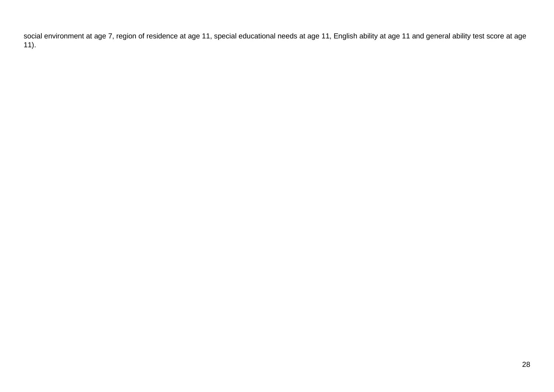social environment at age 7, region of residence at age 11, special educational needs at age 11, English ability at age 11 and general ability test score at age ).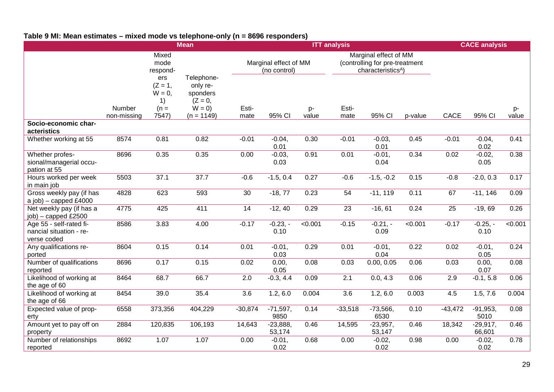## **Table 9 MI: Mean estimates – mixed mode vs telephone-only (n = 8696 responders)**

|                                                                   |                       |                                                        | <b>Mean</b>                                                                |               |                                       |                | <b>ITT analysis</b> |                                                                                           |                | <b>CACE analysis</b> |                      |                |  |
|-------------------------------------------------------------------|-----------------------|--------------------------------------------------------|----------------------------------------------------------------------------|---------------|---------------------------------------|----------------|---------------------|-------------------------------------------------------------------------------------------|----------------|----------------------|----------------------|----------------|--|
|                                                                   |                       | Mixed<br>mode<br>respond-                              |                                                                            |               | Marginal effect of MM<br>(no control) |                |                     | Marginal effect of MM<br>(controlling for pre-treatment<br>characteristics <sup>A</sup> ) |                |                      |                      |                |  |
|                                                                   | Number<br>non-missing | ers<br>$(Z = 1,$<br>$W = 0$ ,<br>1)<br>$(n =$<br>7547) | Telephone-<br>only re-<br>sponders<br>$(Z = 0,$<br>$W = 0$<br>$(n = 1149)$ | Esti-<br>mate | 95% CI                                | p-<br>value    | Esti-<br>mate       | 95% CI                                                                                    | p-value        | CACE                 | 95% CI               | p-<br>value    |  |
| Socio-economic char-<br>acteristics                               |                       |                                                        |                                                                            |               |                                       |                |                     |                                                                                           |                |                      |                      |                |  |
| Whether working at 55                                             | 8574                  | 0.81                                                   | 0.82                                                                       | $-0.01$       | $-0.04$ ,<br>0.01                     | 0.30           | $-0.01$             | $-0.03,$<br>0.01                                                                          | 0.45           | $-0.01$              | $-0.04$ ,<br>0.02    | 0.41           |  |
| Whether profes-<br>sional/managerial occu-<br>pation at 55        | 8696                  | 0.35                                                   | 0.35                                                                       | 0.00          | $-0.03,$<br>0.03                      | 0.91           | 0.01                | $-0.01,$<br>0.04                                                                          | 0.34           | 0.02                 | $-0.02,$<br>0.05     | 0.38           |  |
| Hours worked per week<br>in main job                              | 5503                  | 37.1                                                   | 37.7                                                                       | $-0.6$        | $-1.5, 0.4$                           | 0.27           | $-0.6$              | $-1.5, -0.2$                                                                              | 0.15           | $-0.8$               | $-2.0, 0.3$          | 0.17           |  |
| Gross weekly pay (if has<br>a job) $-$ capped £4000               | 4828                  | 623                                                    | 593                                                                        | 30            | $-18, 77$                             | 0.23           | 54                  | $-11, 119$                                                                                | 0.11           | 67                   | $-11, 146$           | 0.09           |  |
| Net weekly pay (if has a<br>$job$ ) – capped £2500                | 4775                  | 425                                                    | 411                                                                        | 14            | $-12, 40$                             | 0.29           | 23                  | $-16, 61$                                                                                 | 0.24           | 25                   | $-19,69$             | 0.26           |  |
| Age 55 - self-rated fi-<br>nancial situation - re-<br>verse coded | 8586                  | 3.83                                                   | 4.00                                                                       | $-0.17$       | $-0.23,-$<br>0.10                     | $\sqrt{0.001}$ | $-0.15$             | $-0.21,-$<br>0.09                                                                         | $\sqrt{0.001}$ | $-0.17$              | $-0.25,-$<br>0.10    | $\sqrt{0.001}$ |  |
| Any qualifications re-<br>ported                                  | 8604                  | 0.15                                                   | 0.14                                                                       | 0.01          | $-0.01,$<br>0.03                      | 0.29           | 0.01                | $-0.01,$<br>0.04                                                                          | 0.22           | 0.02                 | $-0.01,$<br>0.05     | 0.24           |  |
| Number of qualifications<br>reported                              | 8696                  | 0.17                                                   | 0.15                                                                       | 0.02          | 0.00,<br>0.05                         | 0.08           | 0.03                | 0.00, 0.05                                                                                | 0.06           | 0.03                 | 0.00,<br>0.07        | 0.08           |  |
| Likelihood of working at<br>the age of 60                         | 8464                  | 68.7                                                   | 66.7                                                                       | 2.0           | $-0.3, 4.4$                           | 0.09           | 2.1                 | 0.0, 4.3                                                                                  | 0.06           | 2.9                  | $-0.1, 5.8$          | 0.06           |  |
| Likelihood of working at<br>the age of 66                         | 8454                  | 39.0                                                   | 35.4                                                                       | 3.6           | 1.2, 6.0                              | 0.004          | 3.6                 | 1.2, 6.0                                                                                  | 0.003          | 4.5                  | 1.5, 7.6             | 0.004          |  |
| Expected value of prop-<br>erty                                   | 6558                  | 373,356                                                | 404,229                                                                    | $-30,874$     | $-71,597,$<br>9850                    | 0.14           | $-33,518$           | $-73,566,$<br>6530                                                                        | 0.10           | $-43,472$            | $-91,953,$<br>5010   | 0.08           |  |
| Amount yet to pay off on<br>property                              | 2884                  | 120,835                                                | 106,193                                                                    | 14,643        | $-23,888,$<br>53,174                  | 0.46           | 14,595              | $-23,957,$<br>53,147                                                                      | 0.46           | 18,342               | $-29,917,$<br>66,601 | 0.46           |  |
| Number of relationships<br>reported                               | 8692                  | 1.07                                                   | 1.07                                                                       | 0.00          | $-0.01,$<br>0.02                      | 0.68           | 0.00                | $-0.02,$<br>0.02                                                                          | 0.98           | 0.00                 | $-0.02,$<br>0.02     | 0.78           |  |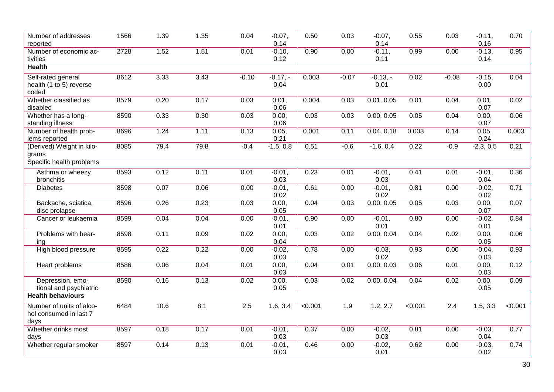| Number of addresses<br>reported                            | 1566 | 1.39 | 1.35 | 0.04    | $-0.07,$<br>0.14  | 0.50    | 0.03             | $-0.07$ ,<br>0.14 | 0.55    | 0.03    | $-0.11,$<br>0.16  | 0.70    |
|------------------------------------------------------------|------|------|------|---------|-------------------|---------|------------------|-------------------|---------|---------|-------------------|---------|
| Number of economic ac-<br>tivities                         | 2728 | 1.52 | 1.51 | 0.01    | $-0.10,$<br>0.12  | 0.90    | 0.00             | $-0.11,$<br>0.11  | 0.99    | 0.00    | $-0.13,$<br>0.14  | 0.95    |
| <b>Health</b>                                              |      |      |      |         |                   |         |                  |                   |         |         |                   |         |
| Self-rated general<br>health (1 to 5) reverse<br>coded     | 8612 | 3.33 | 3.43 | $-0.10$ | $-0.17,-$<br>0.04 | 0.003   | $-0.07$          | $-0.13,-$<br>0.01 | 0.02    | $-0.08$ | $-0.15,$<br>0.00  | 0.04    |
| Whether classified as<br>disabled                          | 8579 | 0.20 | 0.17 | 0.03    | 0.01,<br>0.06     | 0.004   | 0.03             | 0.01, 0.05        | 0.01    | 0.04    | 0.01,<br>0.07     | 0.02    |
| Whether has a long-<br>standing illness                    | 8590 | 0.33 | 0.30 | 0.03    | 0.00,<br>0.06     | 0.03    | 0.03             | 0.00, 0.05        | 0.05    | 0.04    | 0.00,<br>0.07     | 0.06    |
| Number of health prob-<br>lems reported                    | 8696 | 1.24 | 1.11 | 0.13    | 0.05,<br>0.21     | 0.001   | 0.11             | 0.04, 0.18        | 0.003   | 0.14    | 0.05,<br>0.24     | 0.003   |
| (Derived) Weight in kilo-<br>grams                         | 8085 | 79.4 | 79.8 | $-0.4$  | $-1.5, 0.8$       | 0.51    | $-0.6$           | $-1.6, 0.4$       | 0.22    | $-0.9$  | $-2.3, 0.5$       | 0.21    |
| Specific health problems                                   |      |      |      |         |                   |         |                  |                   |         |         |                   |         |
| Asthma or wheezy<br>bronchitis                             | 8593 | 0.12 | 0.11 | 0.01    | $-0.01,$<br>0.03  | 0.23    | 0.01             | $-0.01,$<br>0.03  | 0.41    | 0.01    | $-0.01$ ,<br>0.04 | 0.36    |
| <b>Diabetes</b>                                            | 8598 | 0.07 | 0.06 | 0.00    | $-0.01,$<br>0.02  | 0.61    | 0.00             | $-0.01,$<br>0.02  | 0.81    | 0.00    | $-0.02,$<br>0.02  | 0.71    |
| Backache, sciatica,<br>disc prolapse                       | 8596 | 0.26 | 0.23 | 0.03    | 0.00,<br>0.05     | 0.04    | 0.03             | 0.00, 0.05        | 0.05    | 0.03    | 0.00,<br>0.07     | 0.07    |
| Cancer or leukaemia                                        | 8599 | 0.04 | 0.04 | 0.00    | $-0.01,$<br>0.01  | 0.90    | 0.00             | $-0.01,$<br>0.01  | 0.80    | 0.00    | $-0.02,$<br>0.01  | 0.84    |
| Problems with hear-<br>ing                                 | 8598 | 0.11 | 0.09 | 0.02    | 0.00,<br>0.04     | 0.03    | 0.02             | 0.00, 0.04        | 0.04    | 0.02    | 0.00,<br>0.05     | 0.06    |
| High blood pressure                                        | 8595 | 0.22 | 0.22 | 0.00    | $-0.02,$<br>0.03  | 0.78    | 0.00             | $-0.03,$<br>0.02  | 0.93    | 0.00    | $-0.04$ ,<br>0.03 | 0.93    |
| Heart problems                                             | 8586 | 0.06 | 0.04 | 0.01    | 0.00,<br>0.03     | 0.04    | 0.01             | 0.00, 0.03        | 0.06    | 0.01    | 0.00,<br>0.03     | 0.12    |
| Depression, emo-<br>tional and psychiatric                 | 8590 | 0.16 | 0.13 | 0.02    | 0.00,<br>0.05     | 0.03    | 0.02             | 0.00, 0.04        | 0.04    | 0.02    | 0.00,<br>0.05     | 0.09    |
| <b>Health behaviours</b>                                   |      |      |      |         |                   |         |                  |                   |         |         |                   |         |
| Number of units of alco-<br>hol consumed in last 7<br>days | 6484 | 10.6 | 8.1  | 2.5     | 1.6, 3.4          | < 0.001 | $\overline{1.9}$ | 1.2, 2.7          | < 0.001 | 2.4     | 1.5, 3.3          | < 0.001 |
| Whether drinks most<br>days                                | 8597 | 0.18 | 0.17 | 0.01    | $-0.01$ ,<br>0.03 | 0.37    | 0.00             | $-0.02,$<br>0.03  | 0.81    | 0.00    | $-0.03,$<br>0.04  | 0.77    |
| Whether regular smoker                                     | 8597 | 0.14 | 0.13 | 0.01    | $-0.01,$<br>0.03  | 0.46    | 0.00             | $-0.02,$<br>0.01  | 0.62    | 0.00    | $-0.03,$<br>0.02  | 0.74    |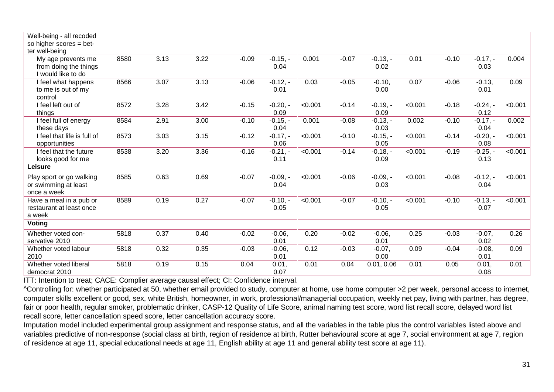| Well-being - all recoded    |      |      |      |         |            |                |         |            |         |         |            |                |
|-----------------------------|------|------|------|---------|------------|----------------|---------|------------|---------|---------|------------|----------------|
| so higher scores = bet-     |      |      |      |         |            |                |         |            |         |         |            |                |
| ter well-being              |      |      |      |         |            |                |         |            |         |         |            |                |
| My age prevents me          | 8580 | 3.13 | 3.22 | $-0.09$ | $-0.15, -$ | 0.001          | $-0.07$ | $-0.13, -$ | 0.01    | $-0.10$ | $-0.17, -$ | 0.004          |
| from doing the things       |      |      |      |         | 0.04       |                |         | 0.02       |         |         | 0.03       |                |
| I would like to do          |      |      |      |         |            |                |         |            |         |         |            |                |
| I feel what happens         | 8566 | 3.07 | 3.13 | $-0.06$ | $-0.12, -$ | 0.03           | $-0.05$ | $-0.10,$   | 0.07    | $-0.06$ | $-0.13,$   | 0.09           |
| to me is out of my          |      |      |      |         | 0.01       |                |         | 0.00       |         |         | 0.01       |                |
| control                     |      |      |      |         |            |                |         |            |         |         |            |                |
| I feel left out of          | 8572 | 3.28 | 3.42 | $-0.15$ | $-0.20, -$ | < 0.001        | $-0.14$ | $-0.19, -$ | < 0.001 | $-0.18$ | $-0.24, -$ | < 0.001        |
| things                      |      |      |      |         | 0.09       |                |         | 0.09       |         |         | 0.12       |                |
|                             |      |      |      |         |            |                |         |            |         |         |            |                |
| I feel full of energy       | 8584 | 2.91 | 3.00 | $-0.10$ | $-0.15. -$ | 0.001          | $-0.08$ | $-0.13, -$ | 0.002   | $-0.10$ | $-0.17,-$  | 0.002          |
| these days                  |      |      |      |         | 0.04       |                |         | 0.03       |         |         | 0.04       |                |
| I feel that life is full of | 8573 | 3.03 | 3.15 | $-0.12$ | $-0.17. -$ | < 0.001        | $-0.10$ | $-0.15, -$ | < 0.001 | $-0.14$ | $-0.20, -$ | < 0.001        |
| opportunities               |      |      |      |         | 0.06       |                |         | 0.05       |         |         | 0.08       |                |
| I feel that the future      | 8538 | 3.20 | 3.36 | $-0.16$ | $-0.21 -$  | $\sqrt{0.001}$ | $-0.14$ | $-0.18, -$ | < 0.001 | $-0.19$ | $-0.25, -$ | < 0.001        |
| looks good for me           |      |      |      |         | 0.11       |                |         | 0.09       |         |         | 0.13       |                |
| Leisure                     |      |      |      |         |            |                |         |            |         |         |            |                |
| Play sport or go walking    | 8585 | 0.63 | 0.69 | $-0.07$ | $-0.09, -$ | < 0.001        | $-0.06$ | $-0.09, -$ | < 0.001 | $-0.08$ | $-0.12,-$  | $\sqrt{0.001}$ |
| or swimming at least        |      |      |      |         | 0.04       |                |         | 0.03       |         |         | 0.04       |                |
| once a week                 |      |      |      |         |            |                |         |            |         |         |            |                |
| Have a meal in a pub or     | 8589 | 0.19 | 0.27 | $-0.07$ | $-0.10,-$  | < 0.001        | $-0.07$ | $-0.10, -$ | < 0.001 | $-0.10$ | $-0.13, -$ | < 0.001        |
| restaurant at least once    |      |      |      |         | 0.05       |                |         | 0.05       |         |         | 0.07       |                |
| a week                      |      |      |      |         |            |                |         |            |         |         |            |                |
| <b>Voting</b>               |      |      |      |         |            |                |         |            |         |         |            |                |
| Whether voted con-          | 5818 | 0.37 | 0.40 | $-0.02$ | $-0.06$ ,  | 0.20           | $-0.02$ | $-0.06,$   | 0.25    | $-0.03$ | $-0.07,$   | 0.26           |
| servative 2010              |      |      |      |         | 0.01       |                |         | 0.01       |         |         | 0.02       |                |
| Whether voted labour        | 5818 | 0.32 | 0.35 | $-0.03$ | $-0.06$    | 0.12           | $-0.03$ | $-0.07,$   | 0.09    | $-0.04$ | $-0.08,$   | 0.09           |
| 2010                        |      |      |      |         | 0.01       |                |         | 0.00       |         |         | 0.01       |                |
| Whether voted liberal       | 5818 | 0.19 | 0.15 | 0.04    | 0.01,      | 0.01           | 0.04    | 0.01, 0.06 | 0.01    | 0.05    | 0.01,      | 0.01           |
| democrat 2010               |      |      |      |         | 0.07       |                |         |            |         |         | 0.08       |                |

ITT: Intention to treat; CACE: Complier average causal effect; CI: Confidence interval.

<sup>A</sup>Controlling for: whether participated at 50, whether email provided to study, computer at home, use home computer >2 per week, personal access to internet, computer skills excellent or good, sex, white British, homeowner, in work, professional/managerial occupation, weekly net pay, living with partner, has degree, fair or poor health, regular smoker, problematic drinker, CASP-12 Quality of Life Score, animal naming test score, word list recall score, delayed word list recall score, letter cancellation speed score, letter cancellation accuracy score.

Imputation model included experimental group assignment and response status, and all the variables in the table plus the control variables listed above and variables predictive of non-response (social class at birth, region of residence at birth, Rutter behavioural score at age 7, social environment at age 7, region of residence at age 11, special educational needs at age 11, English ability at age 11 and general ability test score at age 11).